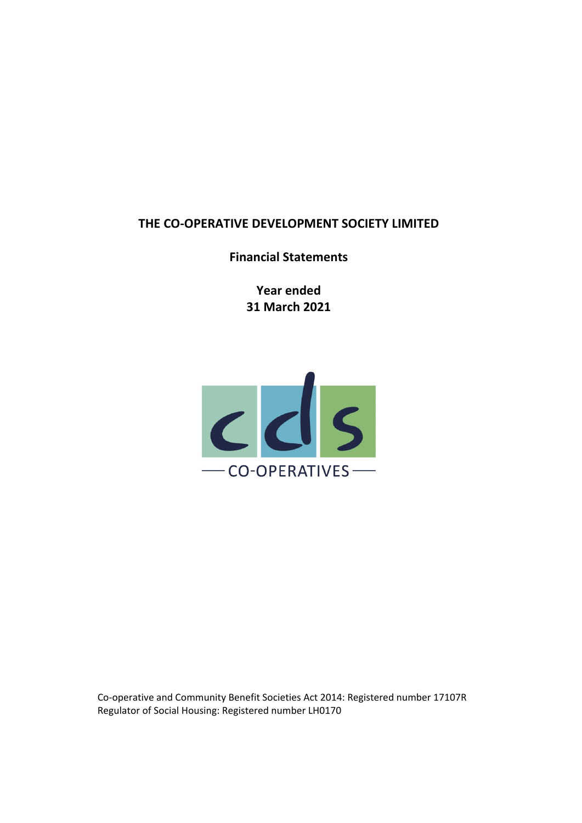**Financial Statements**

**Year ended 31 March 2021**



Co‐operative and Community Benefit Societies Act 2014: Registered number 17107R Regulator of Social Housing: Registered number LH0170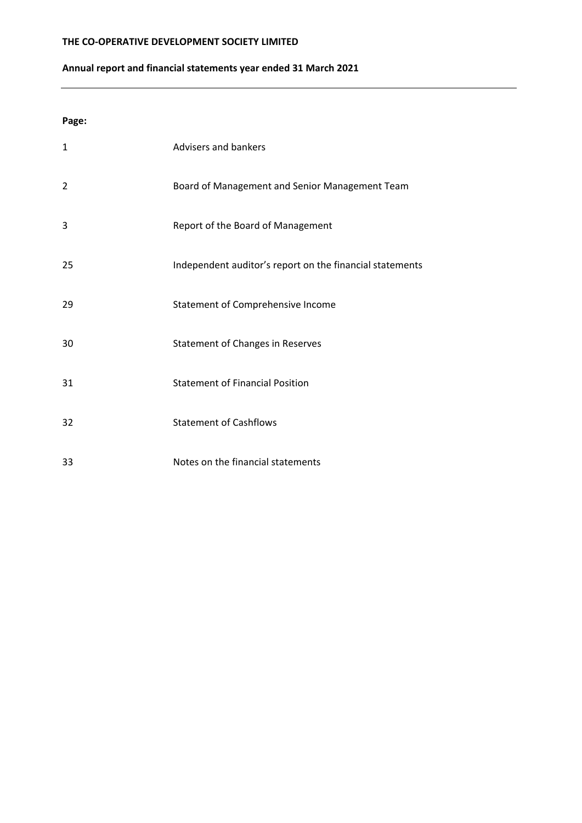# **Annual report and financial statements year ended 31 March 2021**

**Page:**

| $\mathbf{1}$   | Advisers and bankers                                     |
|----------------|----------------------------------------------------------|
| $\overline{2}$ | Board of Management and Senior Management Team           |
| 3              | Report of the Board of Management                        |
| 25             | Independent auditor's report on the financial statements |
| 29             | Statement of Comprehensive Income                        |
| 30             | <b>Statement of Changes in Reserves</b>                  |
| 31             | <b>Statement of Financial Position</b>                   |
| 32             | <b>Statement of Cashflows</b>                            |
| 33             | Notes on the financial statements                        |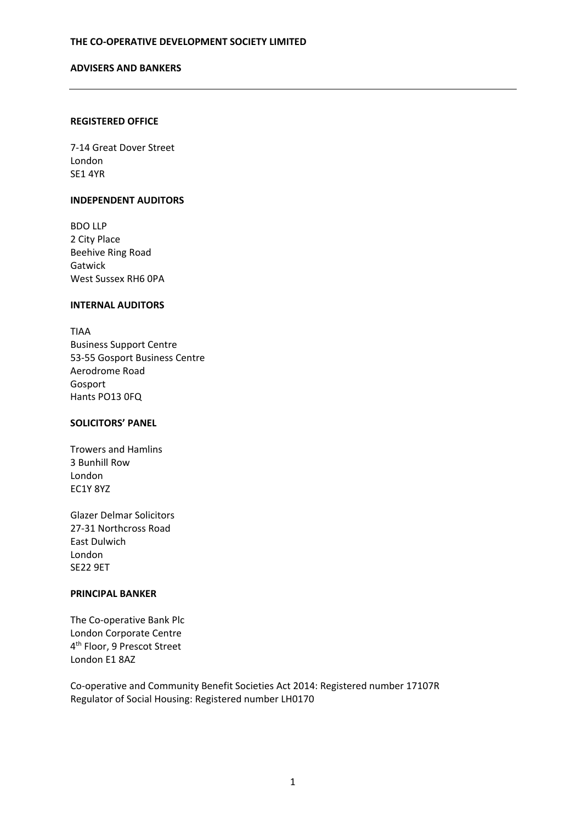#### **ADVISERS AND BANKERS**

#### **REGISTERED OFFICE**

7‐14 Great Dover Street London SE1 4YR

#### **INDEPENDENT AUDITORS**

BDO LLP 2 City Place Beehive Ring Road Gatwick West Sussex RH6 0PA

### **INTERNAL AUDITORS**

TIAA Business Support Centre 53‐55 Gosport Business Centre Aerodrome Road Gosport Hants PO13 0FQ

# **SOLICITORS' PANEL**

Trowers and Hamlins 3 Bunhill Row London EC1Y 8YZ

Glazer Delmar Solicitors 27‐31 Northcross Road East Dulwich London SE22 9ET

# **PRINCIPAL BANKER**

The Co‐operative Bank Plc London Corporate Centre 4th Floor, 9 Prescot Street London E1 8AZ

Co‐operative and Community Benefit Societies Act 2014: Registered number 17107R Regulator of Social Housing: Registered number LH0170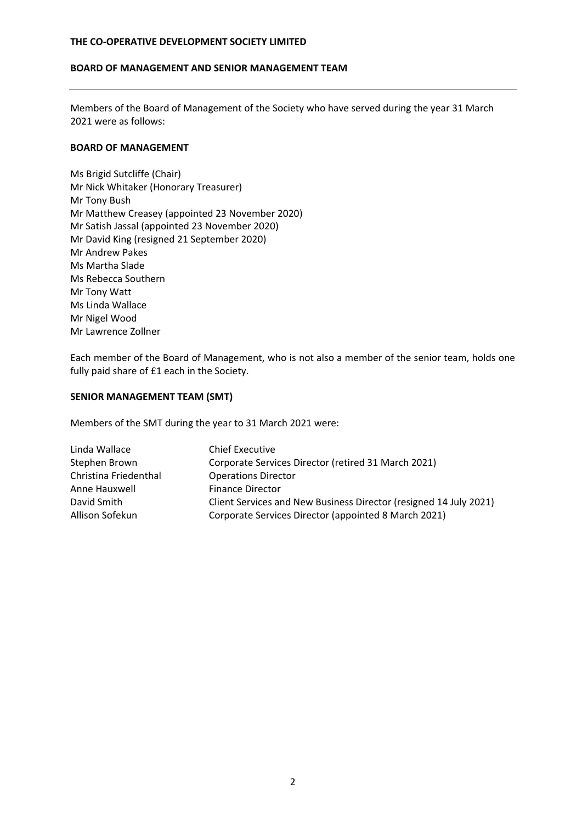### **BOARD OF MANAGEMENT AND SENIOR MANAGEMENT TEAM**

Members of the Board of Management of the Society who have served during the year 31 March 2021 were as follows:

# **BOARD OF MANAGEMENT**

Ms Brigid Sutcliffe (Chair) Mr Nick Whitaker (Honorary Treasurer) Mr Tony Bush Mr Matthew Creasey (appointed 23 November 2020) Mr Satish Jassal (appointed 23 November 2020) Mr David King (resigned 21 September 2020) Mr Andrew Pakes Ms Martha Slade Ms Rebecca Southern Mr Tony Watt Ms Linda Wallace Mr Nigel Wood Mr Lawrence Zollner

Each member of the Board of Management, who is not also a member of the senior team, holds one fully paid share of £1 each in the Society.

# **SENIOR MANAGEMENT TEAM (SMT)**

Members of the SMT during the year to 31 March 2021 were:

| Linda Wallace         | <b>Chief Executive</b>                                            |
|-----------------------|-------------------------------------------------------------------|
| Stephen Brown         | Corporate Services Director (retired 31 March 2021)               |
| Christina Friedenthal | <b>Operations Director</b>                                        |
| Anne Hauxwell         | <b>Finance Director</b>                                           |
| David Smith           | Client Services and New Business Director (resigned 14 July 2021) |
| Allison Sofekun       | Corporate Services Director (appointed 8 March 2021)              |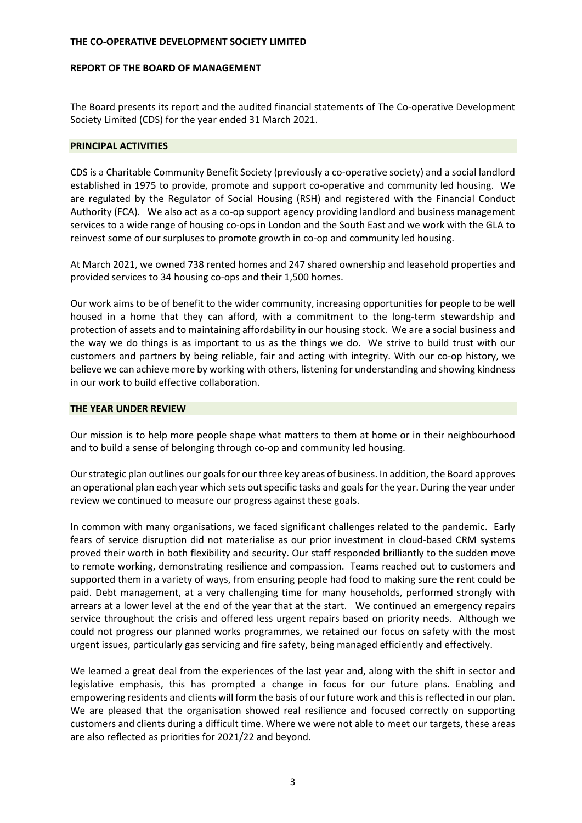#### **REPORT OF THE BOARD OF MANAGEMENT**

The Board presents its report and the audited financial statements of The Co-operative Development Society Limited (CDS) for the year ended 31 March 2021.

#### **PRINCIPAL ACTIVITIES**

CDS is a Charitable Community Benefit Society (previously a co‐operative society) and a social landlord established in 1975 to provide, promote and support co-operative and community led housing. We are regulated by the Regulator of Social Housing (RSH) and registered with the Financial Conduct Authority (FCA). We also act as a co-op support agency providing landlord and business management services to a wide range of housing co‐ops in London and the South East and we work with the GLA to reinvest some of our surpluses to promote growth in co‐op and community led housing.

At March 2021, we owned 738 rented homes and 247 shared ownership and leasehold properties and provided services to 34 housing co‐ops and their 1,500 homes.

Our work aims to be of benefit to the wider community, increasing opportunities for people to be well housed in a home that they can afford, with a commitment to the long-term stewardship and protection of assets and to maintaining affordability in our housing stock. We are a social business and the way we do things is as important to us as the things we do. We strive to build trust with our customers and partners by being reliable, fair and acting with integrity. With our co-op history, we believe we can achieve more by working with others, listening for understanding and showing kindness in our work to build effective collaboration.

### **THE YEAR UNDER REVIEW**

Our mission is to help more people shape what matters to them at home or in their neighbourhood and to build a sense of belonging through co-op and community led housing.

Our strategic plan outlines our goals for our three key areas of business. In addition, the Board approves an operational plan each year which sets out specific tasks and goals for the year. During the year under review we continued to measure our progress against these goals.

In common with many organisations, we faced significant challenges related to the pandemic. Early fears of service disruption did not materialise as our prior investment in cloud‐based CRM systems proved their worth in both flexibility and security. Our staff responded brilliantly to the sudden move to remote working, demonstrating resilience and compassion. Teams reached out to customers and supported them in a variety of ways, from ensuring people had food to making sure the rent could be paid. Debt management, at a very challenging time for many households, performed strongly with arrears at a lower level at the end of the year that at the start. We continued an emergency repairs service throughout the crisis and offered less urgent repairs based on priority needs. Although we could not progress our planned works programmes, we retained our focus on safety with the most urgent issues, particularly gas servicing and fire safety, being managed efficiently and effectively.

We learned a great deal from the experiences of the last year and, along with the shift in sector and legislative emphasis, this has prompted a change in focus for our future plans. Enabling and empowering residents and clients will form the basis of our future work and this is reflected in our plan. We are pleased that the organisation showed real resilience and focused correctly on supporting customers and clients during a difficult time. Where we were not able to meet our targets, these areas are also reflected as priorities for 2021/22 and beyond.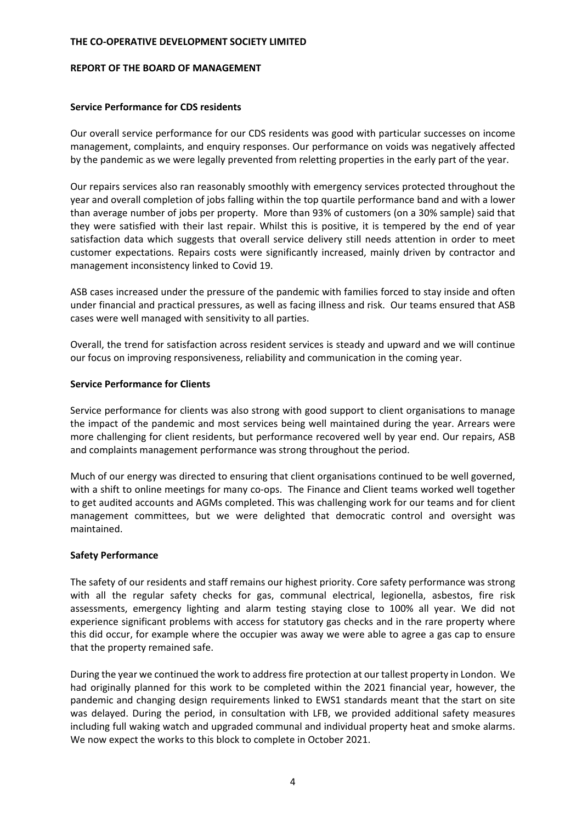#### **REPORT OF THE BOARD OF MANAGEMENT**

### **Service Performance for CDS residents**

Our overall service performance for our CDS residents was good with particular successes on income management, complaints, and enquiry responses. Our performance on voids was negatively affected by the pandemic as we were legally prevented from reletting properties in the early part of the year.

Our repairs services also ran reasonably smoothly with emergency services protected throughout the year and overall completion of jobs falling within the top quartile performance band and with a lower than average number of jobs per property. More than 93% of customers (on a 30% sample) said that they were satisfied with their last repair. Whilst this is positive, it is tempered by the end of year satisfaction data which suggests that overall service delivery still needs attention in order to meet customer expectations. Repairs costs were significantly increased, mainly driven by contractor and management inconsistency linked to Covid 19.

ASB cases increased under the pressure of the pandemic with families forced to stay inside and often under financial and practical pressures, as well as facing illness and risk. Our teams ensured that ASB cases were well managed with sensitivity to all parties.

Overall, the trend for satisfaction across resident services is steady and upward and we will continue our focus on improving responsiveness, reliability and communication in the coming year.

### **Service Performance for Clients**

Service performance for clients was also strong with good support to client organisations to manage the impact of the pandemic and most services being well maintained during the year. Arrears were more challenging for client residents, but performance recovered well by year end. Our repairs, ASB and complaints management performance was strong throughout the period.

Much of our energy was directed to ensuring that client organisations continued to be well governed, with a shift to online meetings for many co-ops. The Finance and Client teams worked well together to get audited accounts and AGMs completed. This was challenging work for our teams and for client management committees, but we were delighted that democratic control and oversight was maintained.

# **Safety Performance**

The safety of our residents and staff remains our highest priority. Core safety performance was strong with all the regular safety checks for gas, communal electrical, legionella, asbestos, fire risk assessments, emergency lighting and alarm testing staying close to 100% all year. We did not experience significant problems with access for statutory gas checks and in the rare property where this did occur, for example where the occupier was away we were able to agree a gas cap to ensure that the property remained safe.

During the year we continued the work to addressfire protection at our tallest property in London. We had originally planned for this work to be completed within the 2021 financial year, however, the pandemic and changing design requirements linked to EWS1 standards meant that the start on site was delayed. During the period, in consultation with LFB, we provided additional safety measures including full waking watch and upgraded communal and individual property heat and smoke alarms. We now expect the works to this block to complete in October 2021.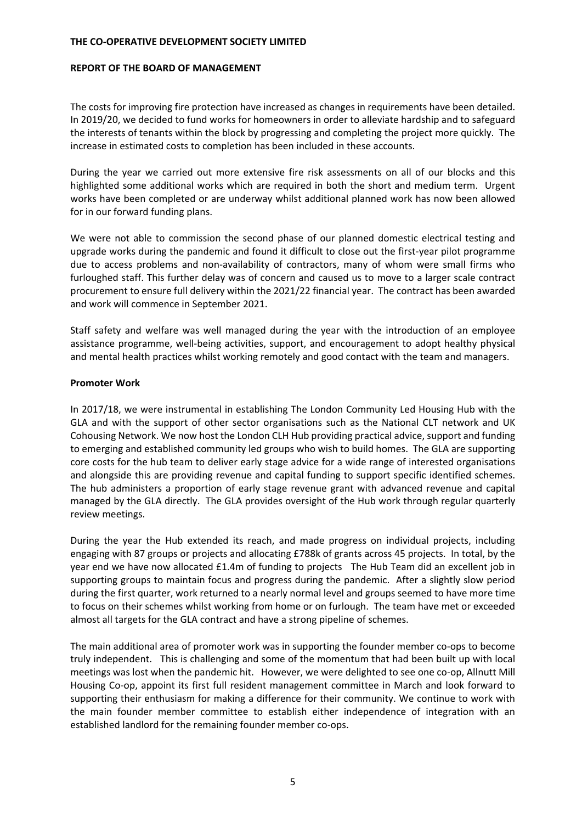#### **REPORT OF THE BOARD OF MANAGEMENT**

The costs for improving fire protection have increased as changes in requirements have been detailed. In 2019/20, we decided to fund works for homeowners in order to alleviate hardship and to safeguard the interests of tenants within the block by progressing and completing the project more quickly. The increase in estimated costs to completion has been included in these accounts.

During the year we carried out more extensive fire risk assessments on all of our blocks and this highlighted some additional works which are required in both the short and medium term. Urgent works have been completed or are underway whilst additional planned work has now been allowed for in our forward funding plans.

We were not able to commission the second phase of our planned domestic electrical testing and upgrade works during the pandemic and found it difficult to close out the first-year pilot programme due to access problems and non‐availability of contractors, many of whom were small firms who furloughed staff. This further delay was of concern and caused us to move to a larger scale contract procurement to ensure full delivery within the 2021/22 financial year. The contract has been awarded and work will commence in September 2021.

Staff safety and welfare was well managed during the year with the introduction of an employee assistance programme, well‐being activities, support, and encouragement to adopt healthy physical and mental health practices whilst working remotely and good contact with the team and managers.

### **Promoter Work**

In 2017/18, we were instrumental in establishing The London Community Led Housing Hub with the GLA and with the support of other sector organisations such as the National CLT network and UK Cohousing Network. We now host the London CLH Hub providing practical advice, support and funding to emerging and established community led groups who wish to build homes. The GLA are supporting core costs for the hub team to deliver early stage advice for a wide range of interested organisations and alongside this are providing revenue and capital funding to support specific identified schemes. The hub administers a proportion of early stage revenue grant with advanced revenue and capital managed by the GLA directly. The GLA provides oversight of the Hub work through regular quarterly review meetings.

During the year the Hub extended its reach, and made progress on individual projects, including engaging with 87 groups or projects and allocating £788k of grants across 45 projects. In total, by the year end we have now allocated £1.4m of funding to projects The Hub Team did an excellent job in supporting groups to maintain focus and progress during the pandemic. After a slightly slow period during the first quarter, work returned to a nearly normal level and groups seemed to have more time to focus on their schemes whilst working from home or on furlough. The team have met or exceeded almost all targets for the GLA contract and have a strong pipeline of schemes.

The main additional area of promoter work was in supporting the founder member co-ops to become truly independent. This is challenging and some of the momentum that had been built up with local meetings was lost when the pandemic hit. However, we were delighted to see one co-op, Allnutt Mill Housing Co-op, appoint its first full resident management committee in March and look forward to supporting their enthusiasm for making a difference for their community. We continue to work with the main founder member committee to establish either independence of integration with an established landlord for the remaining founder member co‐ops.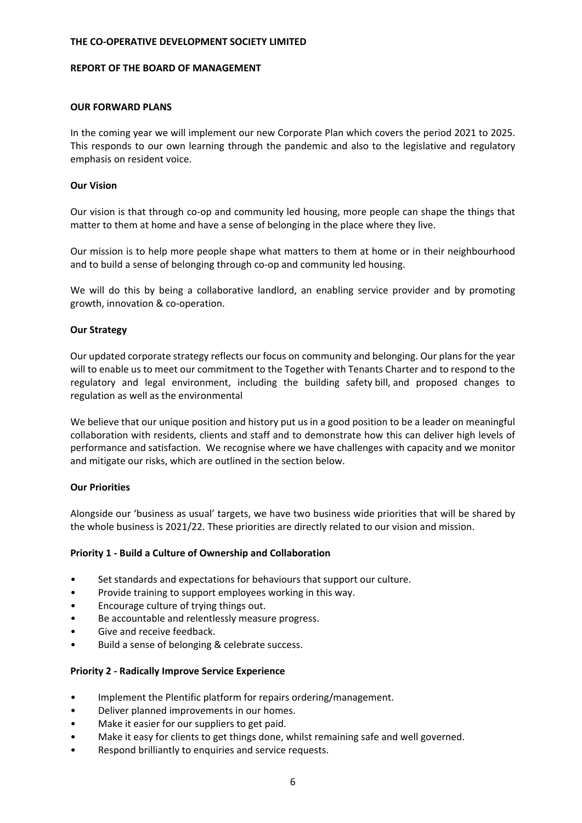#### **REPORT OF THE BOARD OF MANAGEMENT**

#### **OUR FORWARD PLANS**

In the coming year we will implement our new Corporate Plan which covers the period 2021 to 2025. This responds to our own learning through the pandemic and also to the legislative and regulatory emphasis on resident voice.

### **Our Vision**

Our vision is that through co‐op and community led housing, more people can shape the things that matter to them at home and have a sense of belonging in the place where they live.

Our mission is to help more people shape what matters to them at home or in their neighbourhood and to build a sense of belonging through co-op and community led housing.

We will do this by being a collaborative landlord, an enabling service provider and by promoting growth, innovation & co‐operation.

### **Our Strategy**

Our updated corporate strategy reflects our focus on community and belonging. Our plans for the year will to enable us to meet our commitment to the Together with Tenants Charter and to respond to the regulatory and legal environment, including the building safety bill, and proposed changes to regulation as well as the environmental

We believe that our unique position and history put us in a good position to be a leader on meaningful collaboration with residents, clients and staff and to demonstrate how this can deliver high levels of performance and satisfaction. We recognise where we have challenges with capacity and we monitor and mitigate our risks, which are outlined in the section below.

# **Our Priorities**

Alongside our 'business as usual' targets, we have two business wide priorities that will be shared by the whole business is 2021/22. These priorities are directly related to our vision and mission.

# **Priority 1 ‐ Build a Culture of Ownership and Collaboration**

- Set standards and expectations for behaviours that support our culture.
- Provide training to support employees working in this way.
- Encourage culture of trying things out.
- Be accountable and relentlessly measure progress.
- Give and receive feedback.
- Build a sense of belonging & celebrate success.

# **Priority 2 ‐ Radically Improve Service Experience**

- Implement the Plentific platform for repairs ordering/management.
- Deliver planned improvements in our homes.
- Make it easier for our suppliers to get paid.
- Make it easy for clients to get things done, whilst remaining safe and well governed.
- Respond brilliantly to enquiries and service requests.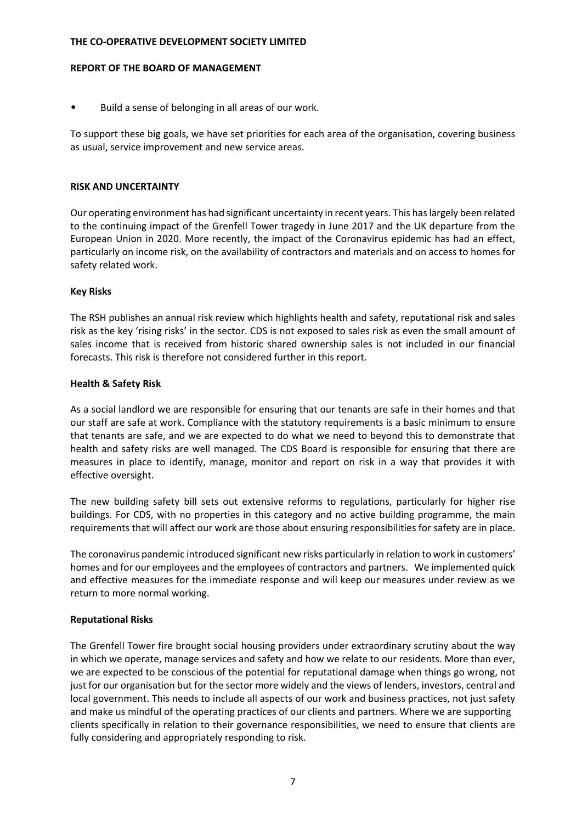#### **REPORT OF THE BOARD OF MANAGEMENT**

• Build a sense of belonging in all areas of our work.

To support these big goals, we have set priorities for each area of the organisation, covering business as usual, service improvement and new service areas.

#### **RISK AND UNCERTAINTY**

Our operating environment has had significant uncertainty in recent years. This haslargely been related to the continuing impact of the Grenfell Tower tragedy in June 2017 and the UK departure from the European Union in 2020. More recently, the impact of the Coronavirus epidemic has had an effect, particularly on income risk, on the availability of contractors and materials and on access to homes for safety related work.

# **Key Risks**

The RSH publishes an annual risk review which highlights health and safety, reputational risk and sales risk as the key 'rising risks' in the sector. CDS is not exposed to sales risk as even the small amount of sales income that is received from historic shared ownership sales is not included in our financial forecasts. This risk is therefore not considered further in this report.

### **Health & Safety Risk**

As a social landlord we are responsible for ensuring that our tenants are safe in their homes and that our staff are safe at work. Compliance with the statutory requirements is a basic minimum to ensure that tenants are safe, and we are expected to do what we need to beyond this to demonstrate that health and safety risks are well managed. The CDS Board is responsible for ensuring that there are measures in place to identify, manage, monitor and report on risk in a way that provides it with effective oversight.

The new building safety bill sets out extensive reforms to regulations, particularly for higher rise buildings. For CDS, with no properties in this category and no active building programme, the main requirements that will affect our work are those about ensuring responsibilities for safety are in place.

The coronavirus pandemic introduced significant new risks particularly in relation to work in customers' homes and for our employees and the employees of contractors and partners. We implemented quick and effective measures for the immediate response and will keep our measures under review as we return to more normal working.

# **Reputational Risks**

The Grenfell Tower fire brought social housing providers under extraordinary scrutiny about the way in which we operate, manage services and safety and how we relate to our residents. More than ever, we are expected to be conscious of the potential for reputational damage when things go wrong, not just for our organisation but for the sector more widely and the views of lenders, investors, central and local government. This needs to include all aspects of our work and business practices, not just safety and make us mindful of the operating practices of our clients and partners. Where we are supporting clients specifically in relation to their governance responsibilities, we need to ensure that clients are fully considering and appropriately responding to risk.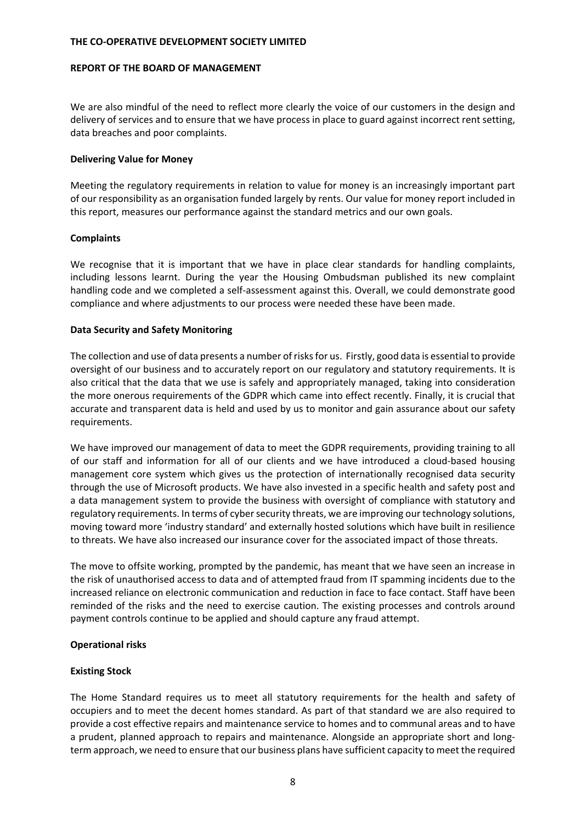#### **REPORT OF THE BOARD OF MANAGEMENT**

We are also mindful of the need to reflect more clearly the voice of our customers in the design and delivery of services and to ensure that we have process in place to guard against incorrect rent setting, data breaches and poor complaints.

### **Delivering Value for Money**

Meeting the regulatory requirements in relation to value for money is an increasingly important part of our responsibility as an organisation funded largely by rents. Our value for money report included in this report, measures our performance against the standard metrics and our own goals.

# **Complaints**

We recognise that it is important that we have in place clear standards for handling complaints, including lessons learnt. During the year the Housing Ombudsman published its new complaint handling code and we completed a self‐assessment against this. Overall, we could demonstrate good compliance and where adjustments to our process were needed these have been made.

# **Data Security and Safety Monitoring**

The collection and use of data presents a number ofrisksfor us. Firstly, good data is essential to provide oversight of our business and to accurately report on our regulatory and statutory requirements. It is also critical that the data that we use is safely and appropriately managed, taking into consideration the more onerous requirements of the GDPR which came into effect recently. Finally, it is crucial that accurate and transparent data is held and used by us to monitor and gain assurance about our safety requirements.

We have improved our management of data to meet the GDPR requirements, providing training to all of our staff and information for all of our clients and we have introduced a cloud‐based housing management core system which gives us the protection of internationally recognised data security through the use of Microsoft products. We have also invested in a specific health and safety post and a data management system to provide the business with oversight of compliance with statutory and regulatory requirements. In terms of cyber security threats, we are improving our technology solutions, moving toward more 'industry standard' and externally hosted solutions which have built in resilience to threats. We have also increased our insurance cover for the associated impact of those threats.

The move to offsite working, prompted by the pandemic, has meant that we have seen an increase in the risk of unauthorised access to data and of attempted fraud from IT spamming incidents due to the increased reliance on electronic communication and reduction in face to face contact. Staff have been reminded of the risks and the need to exercise caution. The existing processes and controls around payment controls continue to be applied and should capture any fraud attempt.

# **Operational risks**

# **Existing Stock**

The Home Standard requires us to meet all statutory requirements for the health and safety of occupiers and to meet the decent homes standard. As part of that standard we are also required to provide a cost effective repairs and maintenance service to homes and to communal areas and to have a prudent, planned approach to repairs and maintenance. Alongside an appropriate short and long‐ term approach, we need to ensure that our business plans have sufficient capacity to meet the required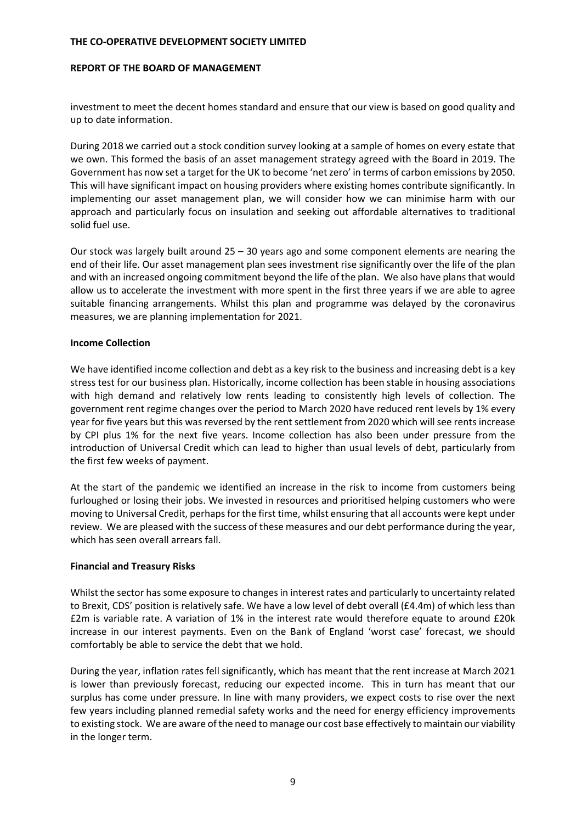#### **REPORT OF THE BOARD OF MANAGEMENT**

investment to meet the decent homes standard and ensure that our view is based on good quality and up to date information.

During 2018 we carried out a stock condition survey looking at a sample of homes on every estate that we own. This formed the basis of an asset management strategy agreed with the Board in 2019. The Government has now set a target for the UK to become 'net zero' in terms of carbon emissions by 2050. This will have significant impact on housing providers where existing homes contribute significantly. In implementing our asset management plan, we will consider how we can minimise harm with our approach and particularly focus on insulation and seeking out affordable alternatives to traditional solid fuel use.

Our stock was largely built around 25 – 30 years ago and some component elements are nearing the end of their life. Our asset management plan sees investment rise significantly over the life of the plan and with an increased ongoing commitment beyond the life of the plan. We also have plans that would allow us to accelerate the investment with more spent in the first three years if we are able to agree suitable financing arrangements. Whilst this plan and programme was delayed by the coronavirus measures, we are planning implementation for 2021.

### **Income Collection**

We have identified income collection and debt as a key risk to the business and increasing debt is a key stress test for our business plan. Historically, income collection has been stable in housing associations with high demand and relatively low rents leading to consistently high levels of collection. The government rent regime changes over the period to March 2020 have reduced rent levels by 1% every year for five years but this was reversed by the rent settlement from 2020 which will see rents increase by CPI plus 1% for the next five years. Income collection has also been under pressure from the introduction of Universal Credit which can lead to higher than usual levels of debt, particularly from the first few weeks of payment.

At the start of the pandemic we identified an increase in the risk to income from customers being furloughed or losing their jobs. We invested in resources and prioritised helping customers who were moving to Universal Credit, perhaps for the first time, whilst ensuring that all accounts were kept under review. We are pleased with the success of these measures and our debt performance during the year, which has seen overall arrears fall.

# **Financial and Treasury Risks**

Whilst the sector has some exposure to changes in interest rates and particularly to uncertainty related to Brexit, CDS' position is relatively safe. We have a low level of debt overall (£4.4m) of which less than £2m is variable rate. A variation of 1% in the interest rate would therefore equate to around £20k increase in our interest payments. Even on the Bank of England 'worst case' forecast, we should comfortably be able to service the debt that we hold.

During the year, inflation rates fell significantly, which has meant that the rent increase at March 2021 is lower than previously forecast, reducing our expected income. This in turn has meant that our surplus has come under pressure. In line with many providers, we expect costs to rise over the next few years including planned remedial safety works and the need for energy efficiency improvements to existing stock. We are aware of the need to manage our cost base effectively to maintain our viability in the longer term.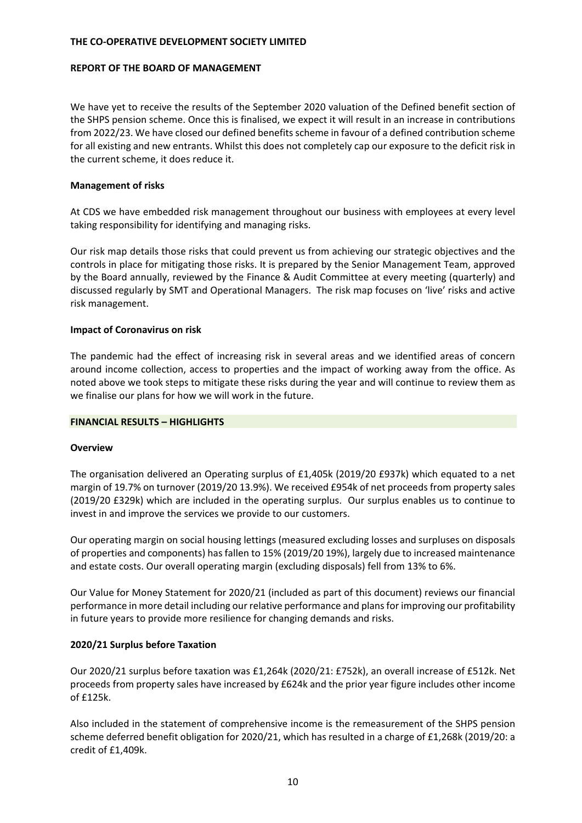#### **REPORT OF THE BOARD OF MANAGEMENT**

We have yet to receive the results of the September 2020 valuation of the Defined benefit section of the SHPS pension scheme. Once this is finalised, we expect it will result in an increase in contributions from 2022/23. We have closed our defined benefits scheme in favour of a defined contribution scheme for all existing and new entrants. Whilst this does not completely cap our exposure to the deficit risk in the current scheme, it does reduce it.

### **Management of risks**

At CDS we have embedded risk management throughout our business with employees at every level taking responsibility for identifying and managing risks.

Our risk map details those risks that could prevent us from achieving our strategic objectives and the controls in place for mitigating those risks. It is prepared by the Senior Management Team, approved by the Board annually, reviewed by the Finance & Audit Committee at every meeting (quarterly) and discussed regularly by SMT and Operational Managers. The risk map focuses on 'live' risks and active risk management.

### **Impact of Coronavirus on risk**

The pandemic had the effect of increasing risk in several areas and we identified areas of concern around income collection, access to properties and the impact of working away from the office. As noted above we took steps to mitigate these risks during the year and will continue to review them as we finalise our plans for how we will work in the future.

# **FINANCIAL RESULTS – HIGHLIGHTS**

#### **Overview**

The organisation delivered an Operating surplus of £1,405k (2019/20 £937k) which equated to a net margin of 19.7% on turnover (2019/20 13.9%). We received £954k of net proceeds from property sales (2019/20 £329k) which are included in the operating surplus. Our surplus enables us to continue to invest in and improve the services we provide to our customers.

Our operating margin on social housing lettings (measured excluding losses and surpluses on disposals of properties and components) has fallen to 15% (2019/20 19%), largely due to increased maintenance and estate costs. Our overall operating margin (excluding disposals) fell from 13% to 6%.

Our Value for Money Statement for 2020/21 (included as part of this document) reviews our financial performance in more detail including our relative performance and plansfor improving our profitability in future years to provide more resilience for changing demands and risks.

# **2020/21 Surplus before Taxation**

Our 2020/21 surplus before taxation was £1,264k (2020/21: £752k), an overall increase of £512k. Net proceeds from property sales have increased by £624k and the prior year figure includes other income of £125k.

Also included in the statement of comprehensive income is the remeasurement of the SHPS pension scheme deferred benefit obligation for 2020/21, which has resulted in a charge of £1,268k (2019/20: a credit of £1,409k.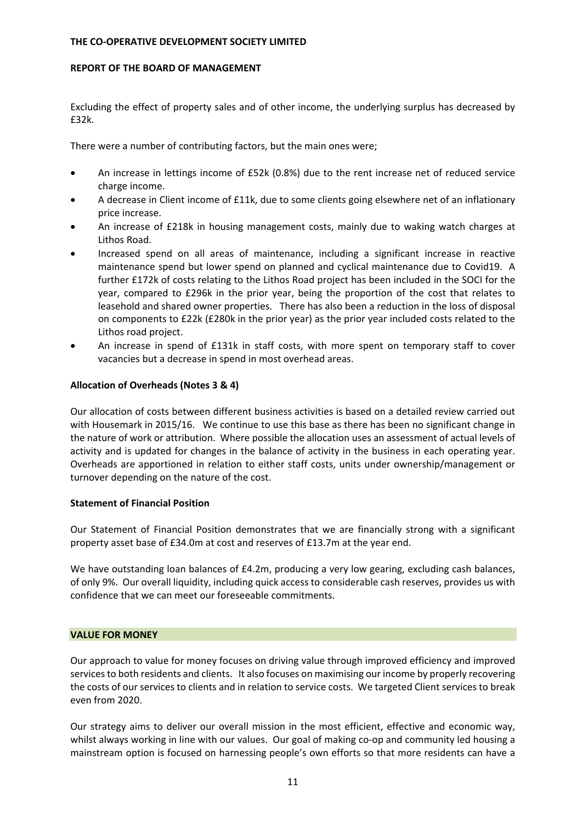#### **REPORT OF THE BOARD OF MANAGEMENT**

Excluding the effect of property sales and of other income, the underlying surplus has decreased by £32k.

There were a number of contributing factors, but the main ones were;

- An increase in lettings income of £52k (0.8%) due to the rent increase net of reduced service charge income.
- A decrease in Client income of £11k, due to some clients going elsewhere net of an inflationary price increase.
- An increase of £218k in housing management costs, mainly due to waking watch charges at Lithos Road.
- Increased spend on all areas of maintenance, including a significant increase in reactive maintenance spend but lower spend on planned and cyclical maintenance due to Covid19. A further £172k of costs relating to the Lithos Road project has been included in the SOCI for the year, compared to £296k in the prior year, being the proportion of the cost that relates to leasehold and shared owner properties. There has also been a reduction in the loss of disposal on components to £22k (£280k in the prior year) as the prior year included costs related to the Lithos road project.
- An increase in spend of £131k in staff costs, with more spent on temporary staff to cover vacancies but a decrease in spend in most overhead areas.

# **Allocation of Overheads (Notes 3 & 4)**

Our allocation of costs between different business activities is based on a detailed review carried out with Housemark in 2015/16. We continue to use this base as there has been no significant change in the nature of work or attribution. Where possible the allocation uses an assessment of actual levels of activity and is updated for changes in the balance of activity in the business in each operating year. Overheads are apportioned in relation to either staff costs, units under ownership/management or turnover depending on the nature of the cost.

# **Statement of Financial Position**

Our Statement of Financial Position demonstrates that we are financially strong with a significant property asset base of £34.0m at cost and reserves of £13.7m at the year end.

We have outstanding loan balances of £4.2m, producing a very low gearing, excluding cash balances, of only 9%. Our overall liquidity, including quick access to considerable cash reserves, provides us with confidence that we can meet our foreseeable commitments.

# **VALUE FOR MONEY**

Our approach to value for money focuses on driving value through improved efficiency and improved services to both residents and clients. It also focuses on maximising our income by properly recovering the costs of our services to clients and in relation to service costs. We targeted Client services to break even from 2020.

Our strategy aims to deliver our overall mission in the most efficient, effective and economic way, whilst always working in line with our values. Our goal of making co-op and community led housing a mainstream option is focused on harnessing people's own efforts so that more residents can have a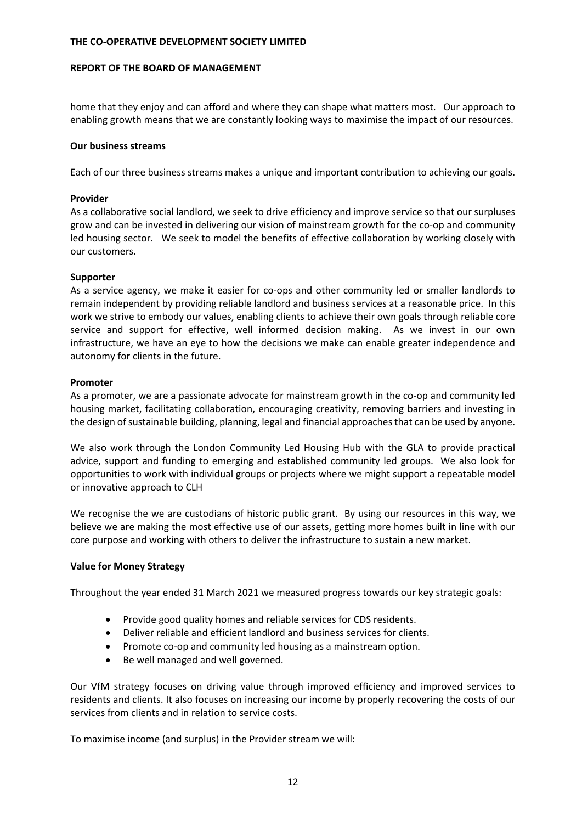### **REPORT OF THE BOARD OF MANAGEMENT**

home that they enjoy and can afford and where they can shape what matters most. Our approach to enabling growth means that we are constantly looking ways to maximise the impact of our resources.

### **Our business streams**

Each of our three business streams makes a unique and important contribution to achieving our goals.

### **Provider**

As a collaborative social landlord, we seek to drive efficiency and improve service so that our surpluses grow and can be invested in delivering our vision of mainstream growth for the co-op and community led housing sector. We seek to model the benefits of effective collaboration by working closely with our customers.

### **Supporter**

As a service agency, we make it easier for co-ops and other community led or smaller landlords to remain independent by providing reliable landlord and business services at a reasonable price. In this work we strive to embody our values, enabling clients to achieve their own goals through reliable core service and support for effective, well informed decision making. As we invest in our own infrastructure, we have an eye to how the decisions we make can enable greater independence and autonomy for clients in the future.

### **Promoter**

As a promoter, we are a passionate advocate for mainstream growth in the co-op and community led housing market, facilitating collaboration, encouraging creativity, removing barriers and investing in the design of sustainable building, planning, legal and financial approaches that can be used by anyone.

We also work through the London Community Led Housing Hub with the GLA to provide practical advice, support and funding to emerging and established community led groups. We also look for opportunities to work with individual groups or projects where we might support a repeatable model or innovative approach to CLH

We recognise the we are custodians of historic public grant. By using our resources in this way, we believe we are making the most effective use of our assets, getting more homes built in line with our core purpose and working with others to deliver the infrastructure to sustain a new market.

# **Value for Money Strategy**

Throughout the year ended 31 March 2021 we measured progress towards our key strategic goals:

- Provide good quality homes and reliable services for CDS residents.
- Deliver reliable and efficient landlord and business services for clients.
- Promote co-op and community led housing as a mainstream option.
- Be well managed and well governed.

Our VfM strategy focuses on driving value through improved efficiency and improved services to residents and clients. It also focuses on increasing our income by properly recovering the costs of our services from clients and in relation to service costs.

To maximise income (and surplus) in the Provider stream we will: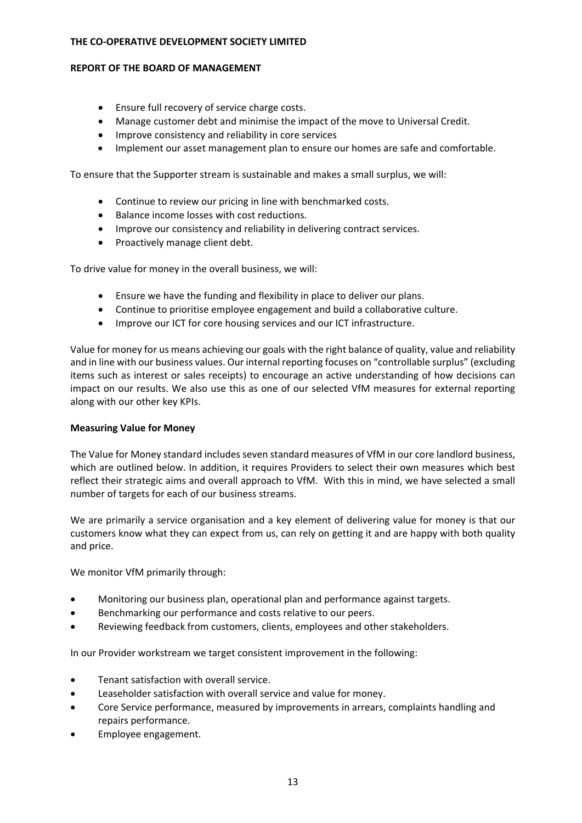## **REPORT OF THE BOARD OF MANAGEMENT**

- Ensure full recovery of service charge costs.
- Manage customer debt and minimise the impact of the move to Universal Credit.
- Improve consistency and reliability in core services
- Implement our asset management plan to ensure our homes are safe and comfortable.

To ensure that the Supporter stream is sustainable and makes a small surplus, we will:

- Continue to review our pricing in line with benchmarked costs.
- Balance income losses with cost reductions.
- Improve our consistency and reliability in delivering contract services.
- Proactively manage client debt.

To drive value for money in the overall business, we will:

- Ensure we have the funding and flexibility in place to deliver our plans.
- Continue to prioritise employee engagement and build a collaborative culture.
- Improve our ICT for core housing services and our ICT infrastructure.

Value for money for us means achieving our goals with the right balance of quality, value and reliability and in line with our business values. Our internal reporting focuses on "controllable surplus" (excluding items such as interest or sales receipts) to encourage an active understanding of how decisions can impact on our results. We also use this as one of our selected VfM measures for external reporting along with our other key KPIs.

# **Measuring Value for Money**

The Value for Money standard includes seven standard measures of VfM in our core landlord business, which are outlined below. In addition, it requires Providers to select their own measures which best reflect their strategic aims and overall approach to VfM. With this in mind, we have selected a small number of targets for each of our business streams.

We are primarily a service organisation and a key element of delivering value for money is that our customers know what they can expect from us, can rely on getting it and are happy with both quality and price.

We monitor VfM primarily through:

- Monitoring our business plan, operational plan and performance against targets.
- Benchmarking our performance and costs relative to our peers.
- Reviewing feedback from customers, clients, employees and other stakeholders.

In our Provider workstream we target consistent improvement in the following:

- Tenant satisfaction with overall service.
- Leaseholder satisfaction with overall service and value for money.
- Core Service performance, measured by improvements in arrears, complaints handling and repairs performance.
- Employee engagement.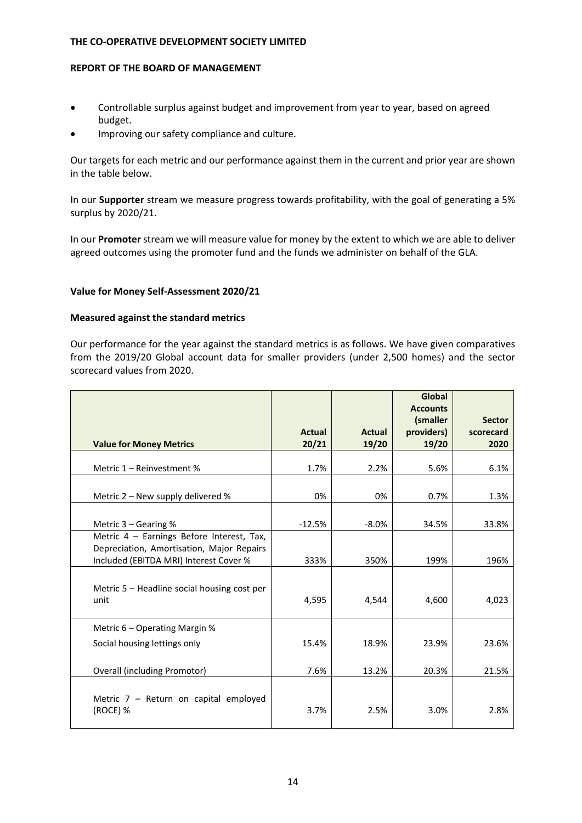#### **REPORT OF THE BOARD OF MANAGEMENT**

- Controllable surplus against budget and improvement from year to year, based on agreed budget.
- Improving our safety compliance and culture.

Our targets for each metric and our performance against them in the current and prior year are shown in the table below.

In our **Supporter** stream we measure progress towards profitability, with the goal of generating a 5% surplus by 2020/21.

In our **Promoter** stream we will measure value for money by the extent to which we are able to deliver agreed outcomes using the promoter fund and the funds we administer on behalf of the GLA.

# **Value for Money Self‐Assessment 2020/21**

# **Measured against the standard metrics**

Our performance for the year against the standard metrics is as follows. We have given comparatives from the 2019/20 Global account data for smaller providers (under 2,500 homes) and the sector scorecard values from 2020.

|                                                                                                                                  |               |               | Global<br><b>Accounts</b> |               |
|----------------------------------------------------------------------------------------------------------------------------------|---------------|---------------|---------------------------|---------------|
|                                                                                                                                  |               |               | (smaller                  | <b>Sector</b> |
|                                                                                                                                  | <b>Actual</b> | <b>Actual</b> | providers)                | scorecard     |
| <b>Value for Money Metrics</b>                                                                                                   | 20/21         | 19/20         | 19/20                     | 2020          |
| Metric 1 - Reinvestment %                                                                                                        | 1.7%          | 2.2%          | 5.6%                      | 6.1%          |
| Metric 2 - New supply delivered %                                                                                                | 0%            | 0%            | 0.7%                      | 1.3%          |
| Metric $3 -$ Gearing %                                                                                                           | $-12.5%$      | $-8.0\%$      | 34.5%                     | 33.8%         |
| Metric 4 - Earnings Before Interest, Tax,<br>Depreciation, Amortisation, Major Repairs<br>Included (EBITDA MRI) Interest Cover % | 333%          | 350%          | 199%                      | 196%          |
| Metric 5 – Headline social housing cost per<br>unit                                                                              | 4,595         | 4,544         | 4,600                     | 4,023         |
| Metric 6 – Operating Margin %                                                                                                    |               |               |                           |               |
| Social housing lettings only                                                                                                     | 15.4%         | 18.9%         | 23.9%                     | 23.6%         |
| Overall (including Promotor)                                                                                                     | 7.6%          | 13.2%         | 20.3%                     | 21.5%         |
| Metric $7$ – Return on capital employed<br>(ROCE) %                                                                              | 3.7%          | 2.5%          | 3.0%                      | 2.8%          |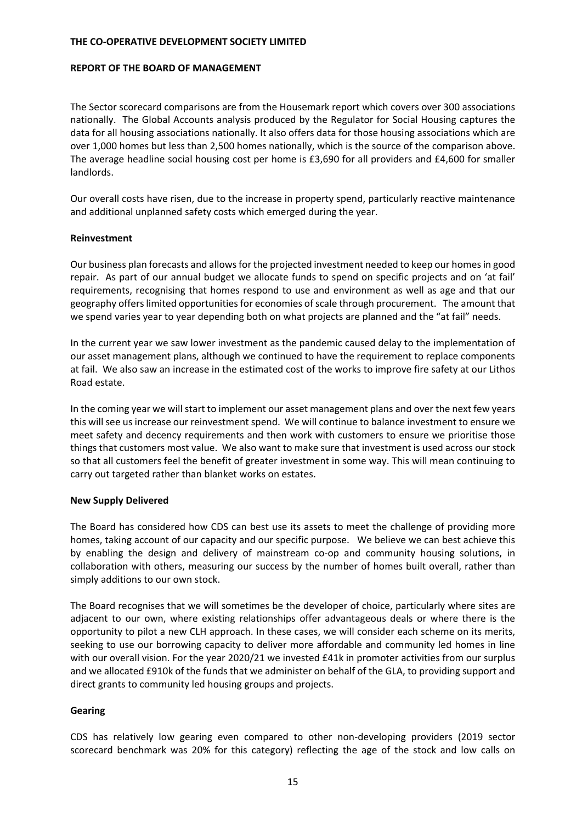#### **REPORT OF THE BOARD OF MANAGEMENT**

The Sector scorecard comparisons are from the Housemark report which covers over 300 associations nationally. The Global Accounts analysis produced by the Regulator for Social Housing captures the data for all housing associations nationally. It also offers data for those housing associations which are over 1,000 homes but less than 2,500 homes nationally, which is the source of the comparison above. The average headline social housing cost per home is £3,690 for all providers and £4,600 for smaller landlords.

Our overall costs have risen, due to the increase in property spend, particularly reactive maintenance and additional unplanned safety costs which emerged during the year.

### **Reinvestment**

Our business plan forecasts and allows for the projected investment needed to keep our homes in good repair. As part of our annual budget we allocate funds to spend on specific projects and on 'at fail' requirements, recognising that homes respond to use and environment as well as age and that our geography offers limited opportunities for economies of scale through procurement. The amount that we spend varies year to year depending both on what projects are planned and the "at fail" needs.

In the current year we saw lower investment as the pandemic caused delay to the implementation of our asset management plans, although we continued to have the requirement to replace components at fail. We also saw an increase in the estimated cost of the works to improve fire safety at our Lithos Road estate.

In the coming year we will start to implement our asset management plans and over the next few years this will see us increase our reinvestment spend. We will continue to balance investment to ensure we meet safety and decency requirements and then work with customers to ensure we prioritise those things that customers most value. We also want to make sure that investment is used across our stock so that all customers feel the benefit of greater investment in some way. This will mean continuing to carry out targeted rather than blanket works on estates.

# **New Supply Delivered**

The Board has considered how CDS can best use its assets to meet the challenge of providing more homes, taking account of our capacity and our specific purpose. We believe we can best achieve this by enabling the design and delivery of mainstream co-op and community housing solutions, in collaboration with others, measuring our success by the number of homes built overall, rather than simply additions to our own stock.

The Board recognises that we will sometimes be the developer of choice, particularly where sites are adjacent to our own, where existing relationships offer advantageous deals or where there is the opportunity to pilot a new CLH approach. In these cases, we will consider each scheme on its merits, seeking to use our borrowing capacity to deliver more affordable and community led homes in line with our overall vision. For the year 2020/21 we invested £41k in promoter activities from our surplus and we allocated £910k of the funds that we administer on behalf of the GLA, to providing support and direct grants to community led housing groups and projects.

# **Gearing**

CDS has relatively low gearing even compared to other non‐developing providers (2019 sector scorecard benchmark was 20% for this category) reflecting the age of the stock and low calls on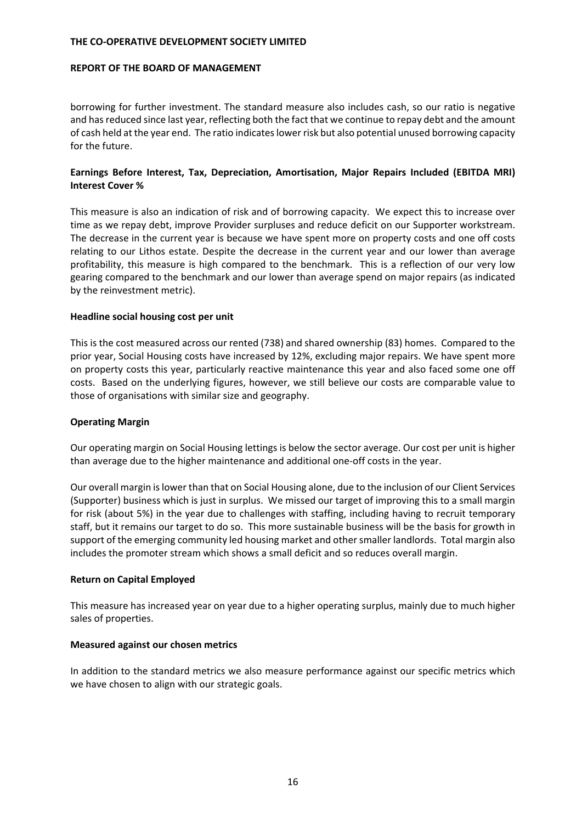#### **REPORT OF THE BOARD OF MANAGEMENT**

borrowing for further investment. The standard measure also includes cash, so our ratio is negative and hasreduced since last year, reflecting both the fact that we continue to repay debt and the amount of cash held at the year end. The ratio indicateslower risk but also potential unused borrowing capacity for the future.

# **Earnings Before Interest, Tax, Depreciation, Amortisation, Major Repairs Included (EBITDA MRI) Interest Cover %**

This measure is also an indication of risk and of borrowing capacity. We expect this to increase over time as we repay debt, improve Provider surpluses and reduce deficit on our Supporter workstream. The decrease in the current year is because we have spent more on property costs and one off costs relating to our Lithos estate. Despite the decrease in the current year and our lower than average profitability, this measure is high compared to the benchmark. This is a reflection of our very low gearing compared to the benchmark and our lower than average spend on major repairs (as indicated by the reinvestment metric).

### **Headline social housing cost per unit**

This is the cost measured across our rented (738) and shared ownership (83) homes. Compared to the prior year, Social Housing costs have increased by 12%, excluding major repairs. We have spent more on property costs this year, particularly reactive maintenance this year and also faced some one off costs. Based on the underlying figures, however, we still believe our costs are comparable value to those of organisations with similar size and geography.

# **Operating Margin**

Our operating margin on Social Housing lettings is below the sector average. Our cost per unit is higher than average due to the higher maintenance and additional one‐off costs in the year.

Our overall margin islower than that on Social Housing alone, due to the inclusion of our Client Services (Supporter) business which is just in surplus. We missed our target of improving this to a small margin for risk (about 5%) in the year due to challenges with staffing, including having to recruit temporary staff, but it remains our target to do so. This more sustainable business will be the basis for growth in support of the emerging community led housing market and other smaller landlords. Total margin also includes the promoter stream which shows a small deficit and so reduces overall margin.

# **Return on Capital Employed**

This measure has increased year on year due to a higher operating surplus, mainly due to much higher sales of properties.

#### **Measured against our chosen metrics**

In addition to the standard metrics we also measure performance against our specific metrics which we have chosen to align with our strategic goals.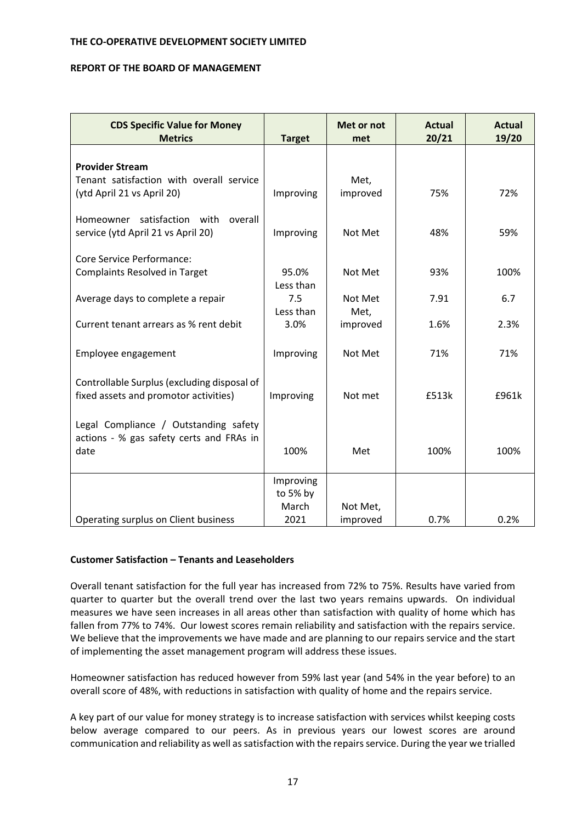#### **REPORT OF THE BOARD OF MANAGEMENT**

| <b>CDS Specific Value for Money</b><br><b>Metrics</b> | <b>Target</b>    | Met or not<br>met | <b>Actual</b><br>20/21 | <b>Actual</b><br>19/20 |
|-------------------------------------------------------|------------------|-------------------|------------------------|------------------------|
|                                                       |                  |                   |                        |                        |
| <b>Provider Stream</b>                                |                  |                   |                        |                        |
| Tenant satisfaction with overall service              |                  | Met,              |                        |                        |
| (ytd April 21 vs April 20)                            | Improving        | improved          | 75%                    | 72%                    |
| Homeowner satisfaction with<br>overall                |                  |                   |                        |                        |
| service (ytd April 21 vs April 20)                    | Improving        | Not Met           | 48%                    | 59%                    |
|                                                       |                  |                   |                        |                        |
| Core Service Performance:                             |                  |                   |                        |                        |
| <b>Complaints Resolved in Target</b>                  | 95.0%            | Not Met           | 93%                    | 100%                   |
|                                                       | Less than<br>7.5 | Not Met           | 7.91                   | 6.7                    |
| Average days to complete a repair                     | Less than        | Met,              |                        |                        |
| Current tenant arrears as % rent debit                | 3.0%             | improved          | 1.6%                   | 2.3%                   |
|                                                       |                  |                   |                        |                        |
| Employee engagement                                   | Improving        | Not Met           | 71%                    | 71%                    |
|                                                       |                  |                   |                        |                        |
| Controllable Surplus (excluding disposal of           |                  |                   |                        |                        |
| fixed assets and promotor activities)                 | Improving        | Not met           | £513k                  | £961k                  |
|                                                       |                  |                   |                        |                        |
| Legal Compliance / Outstanding safety                 |                  |                   |                        |                        |
| actions - % gas safety certs and FRAs in<br>date      | 100%             | Met               | 100%                   | 100%                   |
|                                                       |                  |                   |                        |                        |
|                                                       | Improving        |                   |                        |                        |
|                                                       | to 5% by         |                   |                        |                        |
|                                                       | March            | Not Met,          |                        |                        |
| Operating surplus on Client business                  | 2021             | improved          | 0.7%                   | 0.2%                   |

# **Customer Satisfaction – Tenants and Leaseholders**

Overall tenant satisfaction for the full year has increased from 72% to 75%. Results have varied from quarter to quarter but the overall trend over the last two years remains upwards. On individual measures we have seen increases in all areas other than satisfaction with quality of home which has fallen from 77% to 74%. Our lowest scores remain reliability and satisfaction with the repairs service. We believe that the improvements we have made and are planning to our repairs service and the start of implementing the asset management program will address these issues.

Homeowner satisfaction has reduced however from 59% last year (and 54% in the year before) to an overall score of 48%, with reductions in satisfaction with quality of home and the repairs service.

A key part of our value for money strategy is to increase satisfaction with services whilst keeping costs below average compared to our peers. As in previous years our lowest scores are around communication and reliability as well as satisfaction with the repairs service. During the year we trialled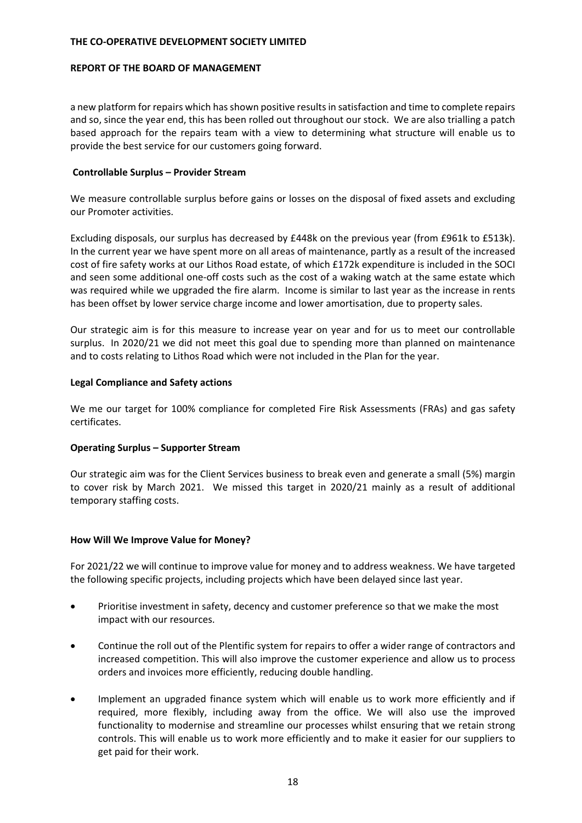#### **REPORT OF THE BOARD OF MANAGEMENT**

a new platform for repairs which has shown positive results in satisfaction and time to complete repairs and so, since the year end, this has been rolled out throughout our stock. We are also trialling a patch based approach for the repairs team with a view to determining what structure will enable us to provide the best service for our customers going forward.

### **Controllable Surplus – Provider Stream**

We measure controllable surplus before gains or losses on the disposal of fixed assets and excluding our Promoter activities.

Excluding disposals, our surplus has decreased by £448k on the previous year (from £961k to £513k). In the current year we have spent more on all areas of maintenance, partly as a result of the increased cost of fire safety works at our Lithos Road estate, of which £172k expenditure is included in the SOCI and seen some additional one-off costs such as the cost of a waking watch at the same estate which was required while we upgraded the fire alarm. Income is similar to last year as the increase in rents has been offset by lower service charge income and lower amortisation, due to property sales.

Our strategic aim is for this measure to increase year on year and for us to meet our controllable surplus. In 2020/21 we did not meet this goal due to spending more than planned on maintenance and to costs relating to Lithos Road which were not included in the Plan for the year.

### **Legal Compliance and Safety actions**

We me our target for 100% compliance for completed Fire Risk Assessments (FRAs) and gas safety certificates.

# **Operating Surplus – Supporter Stream**

Our strategic aim was for the Client Services business to break even and generate a small (5%) margin to cover risk by March 2021. We missed this target in 2020/21 mainly as a result of additional temporary staffing costs.

# **How Will We Improve Value for Money?**

For 2021/22 we will continue to improve value for money and to address weakness. We have targeted the following specific projects, including projects which have been delayed since last year.

- Prioritise investment in safety, decency and customer preference so that we make the most impact with our resources.
- Continue the roll out of the Plentific system for repairs to offer a wider range of contractors and increased competition. This will also improve the customer experience and allow us to process orders and invoices more efficiently, reducing double handling.
- Implement an upgraded finance system which will enable us to work more efficiently and if required, more flexibly, including away from the office. We will also use the improved functionality to modernise and streamline our processes whilst ensuring that we retain strong controls. This will enable us to work more efficiently and to make it easier for our suppliers to get paid for their work.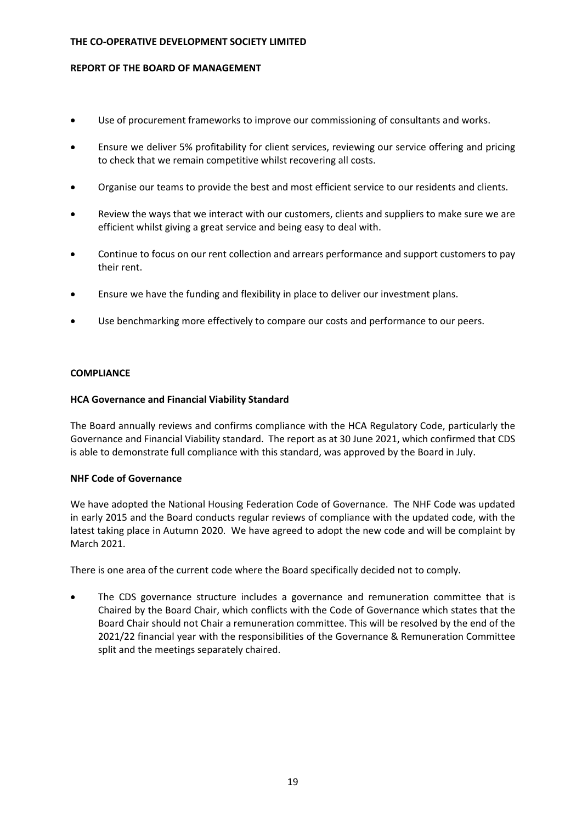### **REPORT OF THE BOARD OF MANAGEMENT**

- Use of procurement frameworks to improve our commissioning of consultants and works.
- Ensure we deliver 5% profitability for client services, reviewing our service offering and pricing to check that we remain competitive whilst recovering all costs.
- Organise our teams to provide the best and most efficient service to our residents and clients.
- Review the ways that we interact with our customers, clients and suppliers to make sure we are efficient whilst giving a great service and being easy to deal with.
- Continue to focus on our rent collection and arrears performance and support customers to pay their rent.
- Ensure we have the funding and flexibility in place to deliver our investment plans.
- Use benchmarking more effectively to compare our costs and performance to our peers.

# **COMPLIANCE**

# **HCA Governance and Financial Viability Standard**

The Board annually reviews and confirms compliance with the HCA Regulatory Code, particularly the Governance and Financial Viability standard. The report as at 30 June 2021, which confirmed that CDS is able to demonstrate full compliance with this standard, was approved by the Board in July.

# **NHF Code of Governance**

We have adopted the National Housing Federation Code of Governance. The NHF Code was updated in early 2015 and the Board conducts regular reviews of compliance with the updated code, with the latest taking place in Autumn 2020. We have agreed to adopt the new code and will be complaint by March 2021.

There is one area of the current code where the Board specifically decided not to comply.

 The CDS governance structure includes a governance and remuneration committee that is Chaired by the Board Chair, which conflicts with the Code of Governance which states that the Board Chair should not Chair a remuneration committee. This will be resolved by the end of the 2021/22 financial year with the responsibilities of the Governance & Remuneration Committee split and the meetings separately chaired.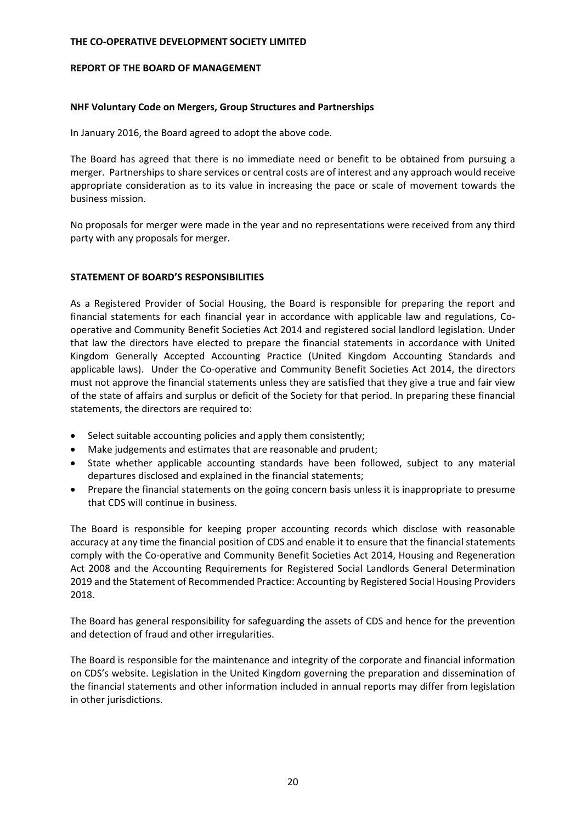#### **REPORT OF THE BOARD OF MANAGEMENT**

### **NHF Voluntary Code on Mergers, Group Structures and Partnerships**

In January 2016, the Board agreed to adopt the above code.

The Board has agreed that there is no immediate need or benefit to be obtained from pursuing a merger. Partnerships to share services or central costs are of interest and any approach would receive appropriate consideration as to its value in increasing the pace or scale of movement towards the business mission.

No proposals for merger were made in the year and no representations were received from any third party with any proposals for merger.

# **STATEMENT OF BOARD'S RESPONSIBILITIES**

As a Registered Provider of Social Housing, the Board is responsible for preparing the report and financial statements for each financial year in accordance with applicable law and regulations, Cooperative and Community Benefit Societies Act 2014 and registered social landlord legislation. Under that law the directors have elected to prepare the financial statements in accordance with United Kingdom Generally Accepted Accounting Practice (United Kingdom Accounting Standards and applicable laws). Under the Co-operative and Community Benefit Societies Act 2014, the directors must not approve the financial statements unless they are satisfied that they give a true and fair view of the state of affairs and surplus or deficit of the Society for that period. In preparing these financial statements, the directors are required to:

- Select suitable accounting policies and apply them consistently;
- Make judgements and estimates that are reasonable and prudent;
- State whether applicable accounting standards have been followed, subject to any material departures disclosed and explained in the financial statements;
- Prepare the financial statements on the going concern basis unless it is inappropriate to presume that CDS will continue in business.

The Board is responsible for keeping proper accounting records which disclose with reasonable accuracy at any time the financial position of CDS and enable it to ensure that the financial statements comply with the Co-operative and Community Benefit Societies Act 2014, Housing and Regeneration Act 2008 and the Accounting Requirements for Registered Social Landlords General Determination 2019 and the Statement of Recommended Practice: Accounting by Registered Social Housing Providers 2018.

The Board has general responsibility for safeguarding the assets of CDS and hence for the prevention and detection of fraud and other irregularities.

The Board is responsible for the maintenance and integrity of the corporate and financial information on CDS's website. Legislation in the United Kingdom governing the preparation and dissemination of the financial statements and other information included in annual reports may differ from legislation in other jurisdictions.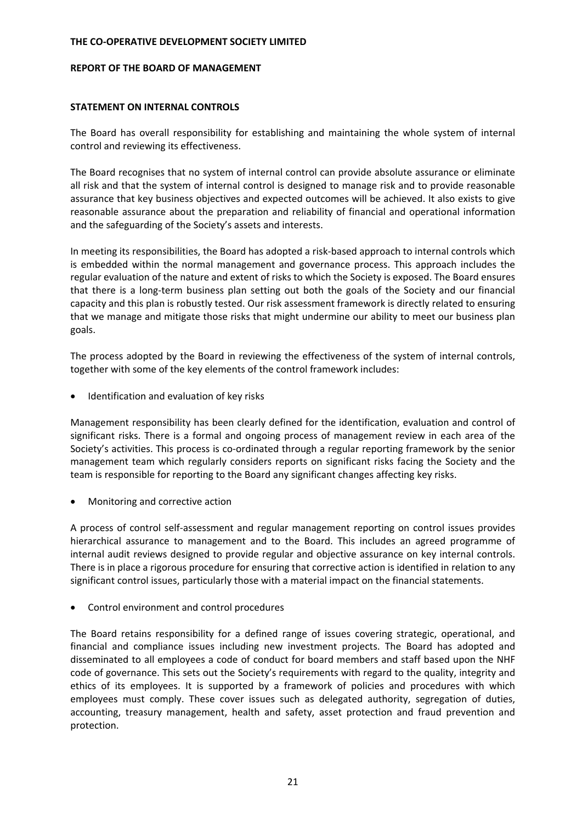#### **REPORT OF THE BOARD OF MANAGEMENT**

### **STATEMENT ON INTERNAL CONTROLS**

The Board has overall responsibility for establishing and maintaining the whole system of internal control and reviewing its effectiveness.

The Board recognises that no system of internal control can provide absolute assurance or eliminate all risk and that the system of internal control is designed to manage risk and to provide reasonable assurance that key business objectives and expected outcomes will be achieved. It also exists to give reasonable assurance about the preparation and reliability of financial and operational information and the safeguarding of the Society's assets and interests.

In meeting its responsibilities, the Board has adopted a risk‐based approach to internal controls which is embedded within the normal management and governance process. This approach includes the regular evaluation of the nature and extent of risks to which the Society is exposed. The Board ensures that there is a long‐term business plan setting out both the goals of the Society and our financial capacity and this plan is robustly tested. Our risk assessment framework is directly related to ensuring that we manage and mitigate those risks that might undermine our ability to meet our business plan goals.

The process adopted by the Board in reviewing the effectiveness of the system of internal controls, together with some of the key elements of the control framework includes:

Identification and evaluation of key risks

Management responsibility has been clearly defined for the identification, evaluation and control of significant risks. There is a formal and ongoing process of management review in each area of the Society's activities. This process is co-ordinated through a regular reporting framework by the senior management team which regularly considers reports on significant risks facing the Society and the team is responsible for reporting to the Board any significant changes affecting key risks.

Monitoring and corrective action

A process of control self‐assessment and regular management reporting on control issues provides hierarchical assurance to management and to the Board. This includes an agreed programme of internal audit reviews designed to provide regular and objective assurance on key internal controls. There is in place a rigorous procedure for ensuring that corrective action is identified in relation to any significant control issues, particularly those with a material impact on the financial statements.

Control environment and control procedures

The Board retains responsibility for a defined range of issues covering strategic, operational, and financial and compliance issues including new investment projects. The Board has adopted and disseminated to all employees a code of conduct for board members and staff based upon the NHF code of governance. This sets out the Society's requirements with regard to the quality, integrity and ethics of its employees. It is supported by a framework of policies and procedures with which employees must comply. These cover issues such as delegated authority, segregation of duties, accounting, treasury management, health and safety, asset protection and fraud prevention and protection.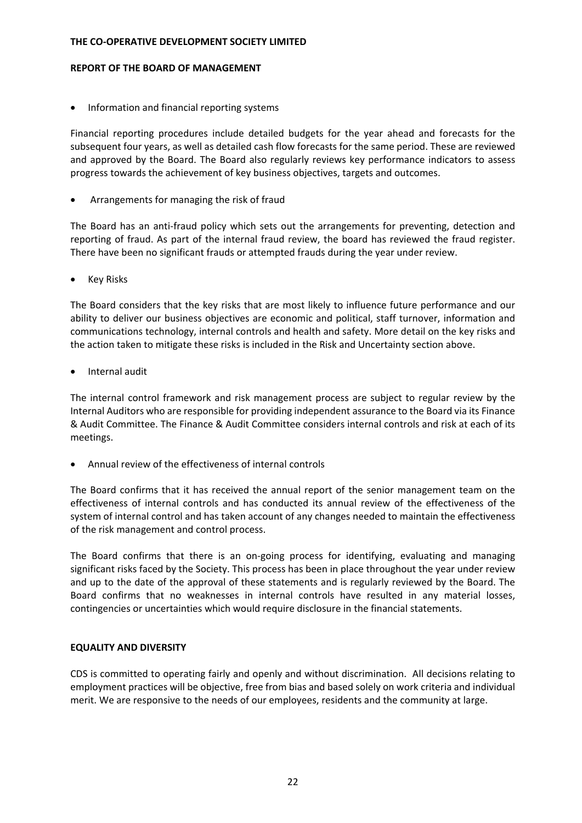#### **REPORT OF THE BOARD OF MANAGEMENT**

• Information and financial reporting systems

Financial reporting procedures include detailed budgets for the year ahead and forecasts for the subsequent four years, as well as detailed cash flow forecasts for the same period. These are reviewed and approved by the Board. The Board also regularly reviews key performance indicators to assess progress towards the achievement of key business objectives, targets and outcomes.

Arrangements for managing the risk of fraud

The Board has an anti-fraud policy which sets out the arrangements for preventing, detection and reporting of fraud. As part of the internal fraud review, the board has reviewed the fraud register. There have been no significant frauds or attempted frauds during the year under review.

Key Risks

The Board considers that the key risks that are most likely to influence future performance and our ability to deliver our business objectives are economic and political, staff turnover, information and communications technology, internal controls and health and safety. More detail on the key risks and the action taken to mitigate these risks is included in the Risk and Uncertainty section above.

Internal audit

The internal control framework and risk management process are subject to regular review by the Internal Auditors who are responsible for providing independent assurance to the Board via its Finance & Audit Committee. The Finance & Audit Committee considers internal controls and risk at each of its meetings.

Annual review of the effectiveness of internal controls

The Board confirms that it has received the annual report of the senior management team on the effectiveness of internal controls and has conducted its annual review of the effectiveness of the system of internal control and has taken account of any changes needed to maintain the effectiveness of the risk management and control process.

The Board confirms that there is an on-going process for identifying, evaluating and managing significant risks faced by the Society. This process has been in place throughout the year under review and up to the date of the approval of these statements and is regularly reviewed by the Board. The Board confirms that no weaknesses in internal controls have resulted in any material losses, contingencies or uncertainties which would require disclosure in the financial statements.

# **EQUALITY AND DIVERSITY**

CDS is committed to operating fairly and openly and without discrimination. All decisions relating to employment practices will be objective, free from bias and based solely on work criteria and individual merit. We are responsive to the needs of our employees, residents and the community at large.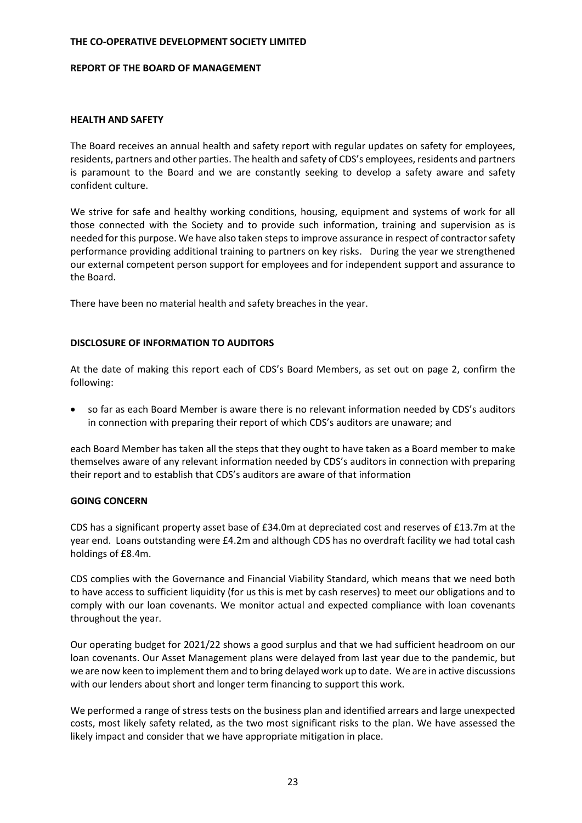#### **REPORT OF THE BOARD OF MANAGEMENT**

### **HEALTH AND SAFETY**

The Board receives an annual health and safety report with regular updates on safety for employees, residents, partners and other parties. The health and safety of CDS's employees, residents and partners is paramount to the Board and we are constantly seeking to develop a safety aware and safety confident culture.

We strive for safe and healthy working conditions, housing, equipment and systems of work for all those connected with the Society and to provide such information, training and supervision as is needed for this purpose. We have also taken steps to improve assurance in respect of contractor safety performance providing additional training to partners on key risks. During the year we strengthened our external competent person support for employees and for independent support and assurance to the Board.

There have been no material health and safety breaches in the year.

# **DISCLOSURE OF INFORMATION TO AUDITORS**

At the date of making this report each of CDS's Board Members, as set out on page 2, confirm the following:

 so far as each Board Member is aware there is no relevant information needed by CDS's auditors in connection with preparing their report of which CDS's auditors are unaware; and

each Board Member has taken all the steps that they ought to have taken as a Board member to make themselves aware of any relevant information needed by CDS's auditors in connection with preparing their report and to establish that CDS's auditors are aware of that information

# **GOING CONCERN**

CDS has a significant property asset base of £34.0m at depreciated cost and reserves of £13.7m at the year end. Loans outstanding were £4.2m and although CDS has no overdraft facility we had total cash holdings of £8.4m.

CDS complies with the Governance and Financial Viability Standard, which means that we need both to have access to sufficient liquidity (for us this is met by cash reserves) to meet our obligations and to comply with our loan covenants. We monitor actual and expected compliance with loan covenants throughout the year.

Our operating budget for 2021/22 shows a good surplus and that we had sufficient headroom on our loan covenants. Our Asset Management plans were delayed from last year due to the pandemic, but we are now keen to implement them and to bring delayed work up to date. We are in active discussions with our lenders about short and longer term financing to support this work.

We performed a range of stress tests on the business plan and identified arrears and large unexpected costs, most likely safety related, as the two most significant risks to the plan. We have assessed the likely impact and consider that we have appropriate mitigation in place.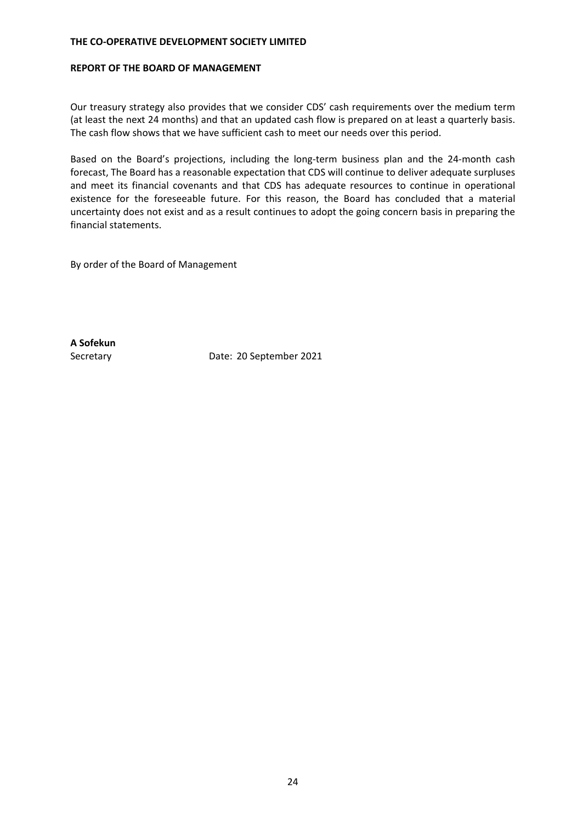#### **REPORT OF THE BOARD OF MANAGEMENT**

Our treasury strategy also provides that we consider CDS' cash requirements over the medium term (at least the next 24 months) and that an updated cash flow is prepared on at least a quarterly basis. The cash flow shows that we have sufficient cash to meet our needs over this period.

Based on the Board's projections, including the long-term business plan and the 24-month cash forecast, The Board has a reasonable expectation that CDS will continue to deliver adequate surpluses and meet its financial covenants and that CDS has adequate resources to continue in operational existence for the foreseeable future. For this reason, the Board has concluded that a material uncertainty does not exist and as a result continues to adopt the going concern basis in preparing the financial statements.

By order of the Board of Management

**A Sofekun**

Secretary Date: 20 September 2021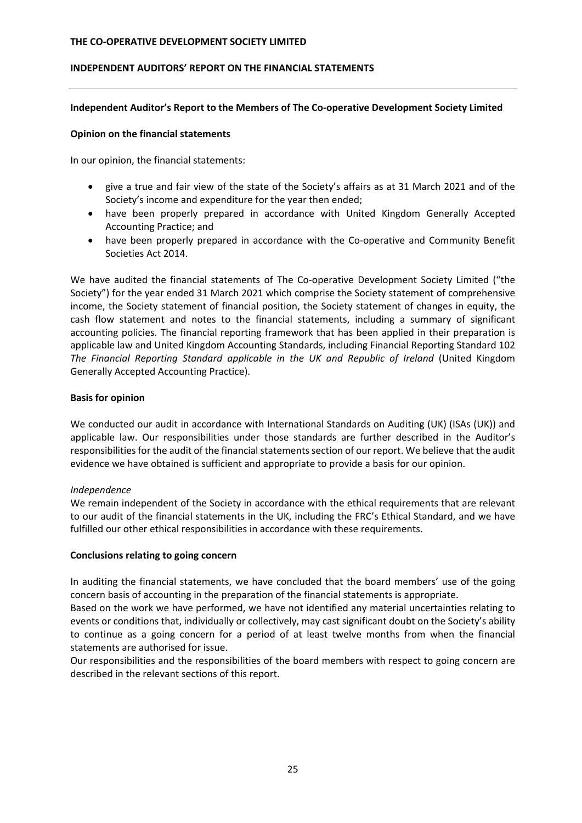## **INDEPENDENT AUDITORS' REPORT ON THE FINANCIAL STATEMENTS**

### **Independent Auditor's Report to the Members of The Co‐operative Development Society Limited**

### **Opinion on the financial statements**

In our opinion, the financial statements:

- give a true and fair view of the state of the Society's affairs as at 31 March 2021 and of the Society's income and expenditure for the year then ended;
- have been properly prepared in accordance with United Kingdom Generally Accepted Accounting Practice; and
- have been properly prepared in accordance with the Co‐operative and Community Benefit Societies Act 2014.

We have audited the financial statements of The Co-operative Development Society Limited ("the Society") for the year ended 31 March 2021 which comprise the Society statement of comprehensive income, the Society statement of financial position, the Society statement of changes in equity, the cash flow statement and notes to the financial statements, including a summary of significant accounting policies. The financial reporting framework that has been applied in their preparation is applicable law and United Kingdom Accounting Standards, including Financial Reporting Standard 102 *The Financial Reporting Standard applicable in the UK and Republic of Ireland* (United Kingdom Generally Accepted Accounting Practice).

### **Basis for opinion**

We conducted our audit in accordance with International Standards on Auditing (UK) (ISAs (UK)) and applicable law. Our responsibilities under those standards are further described in the Auditor's responsibilities for the audit of the financial statements section of our report. We believe that the audit evidence we have obtained is sufficient and appropriate to provide a basis for our opinion.

# *Independence*

We remain independent of the Society in accordance with the ethical requirements that are relevant to our audit of the financial statements in the UK, including the FRC's Ethical Standard, and we have fulfilled our other ethical responsibilities in accordance with these requirements.

# **Conclusions relating to going concern**

In auditing the financial statements, we have concluded that the board members' use of the going concern basis of accounting in the preparation of the financial statements is appropriate.

Based on the work we have performed, we have not identified any material uncertainties relating to events or conditions that, individually or collectively, may cast significant doubt on the Society's ability to continue as a going concern for a period of at least twelve months from when the financial statements are authorised for issue.

Our responsibilities and the responsibilities of the board members with respect to going concern are described in the relevant sections of this report.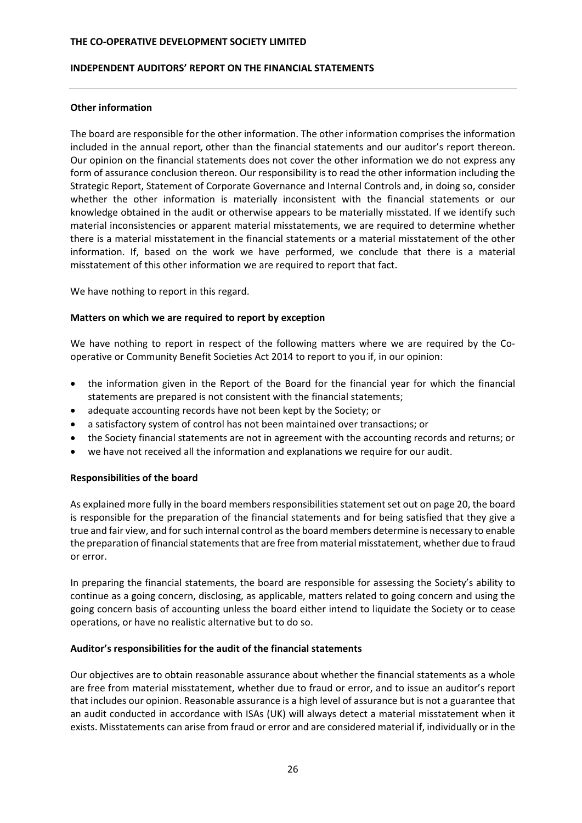#### **INDEPENDENT AUDITORS' REPORT ON THE FINANCIAL STATEMENTS**

#### **Other information**

The board are responsible for the other information. The other information comprises the information included in the annual report*,* other than the financial statements and our auditor's report thereon. Our opinion on the financial statements does not cover the other information we do not express any form of assurance conclusion thereon. Our responsibility is to read the other information including the Strategic Report, Statement of Corporate Governance and Internal Controls and, in doing so, consider whether the other information is materially inconsistent with the financial statements or our knowledge obtained in the audit or otherwise appears to be materially misstated. If we identify such material inconsistencies or apparent material misstatements, we are required to determine whether there is a material misstatement in the financial statements or a material misstatement of the other information. If, based on the work we have performed, we conclude that there is a material misstatement of this other information we are required to report that fact.

We have nothing to report in this regard.

### **Matters on which we are required to report by exception**

We have nothing to report in respect of the following matters where we are required by the Cooperative or Community Benefit Societies Act 2014 to report to you if, in our opinion:

- the information given in the Report of the Board for the financial year for which the financial statements are prepared is not consistent with the financial statements;
- adequate accounting records have not been kept by the Society; or
- a satisfactory system of control has not been maintained over transactions; or
- the Society financial statements are not in agreement with the accounting records and returns; or
- we have not received all the information and explanations we require for our audit.

#### **Responsibilities of the board**

As explained more fully in the board members responsibilities statement set out on page 20, the board is responsible for the preparation of the financial statements and for being satisfied that they give a true and fair view, and for such internal control as the board members determine is necessary to enable the preparation of financial statements that are free from material misstatement, whether due to fraud or error.

In preparing the financial statements, the board are responsible for assessing the Society's ability to continue as a going concern, disclosing, as applicable, matters related to going concern and using the going concern basis of accounting unless the board either intend to liquidate the Society or to cease operations, or have no realistic alternative but to do so.

#### **Auditor's responsibilities for the audit of the financial statements**

Our objectives are to obtain reasonable assurance about whether the financial statements as a whole are free from material misstatement, whether due to fraud or error, and to issue an auditor's report that includes our opinion. Reasonable assurance is a high level of assurance but is not a guarantee that an audit conducted in accordance with ISAs (UK) will always detect a material misstatement when it exists. Misstatements can arise from fraud or error and are considered material if, individually or in the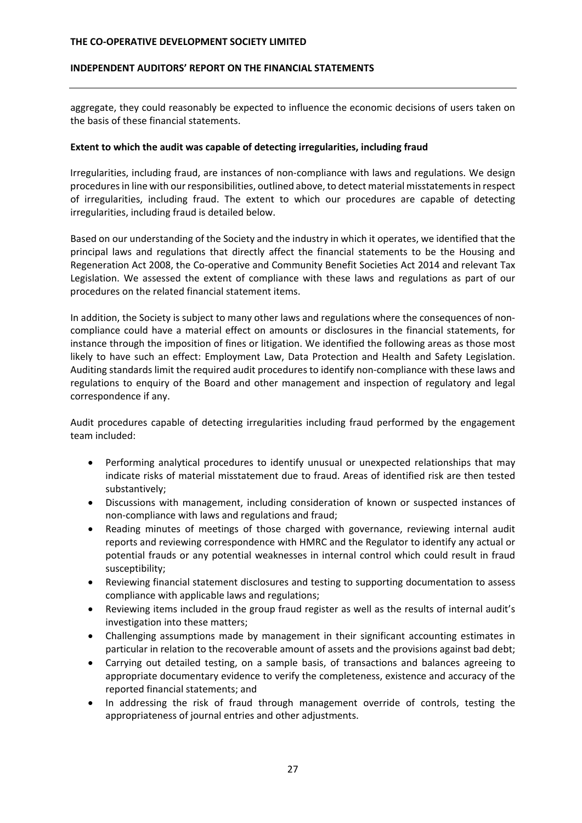### **INDEPENDENT AUDITORS' REPORT ON THE FINANCIAL STATEMENTS**

aggregate, they could reasonably be expected to influence the economic decisions of users taken on the basis of these financial statements.

### **Extent to which the audit was capable of detecting irregularities, including fraud**

Irregularities, including fraud, are instances of non‐compliance with laws and regulations. We design procedures in line with our responsibilities, outlined above, to detect material misstatements in respect of irregularities, including fraud. The extent to which our procedures are capable of detecting irregularities, including fraud is detailed below.

Based on our understanding of the Society and the industry in which it operates, we identified that the principal laws and regulations that directly affect the financial statements to be the Housing and Regeneration Act 2008, the Co‐operative and Community Benefit Societies Act 2014 and relevant Tax Legislation. We assessed the extent of compliance with these laws and regulations as part of our procedures on the related financial statement items.

In addition, the Society is subject to many other laws and regulations where the consequences of non‐ compliance could have a material effect on amounts or disclosures in the financial statements, for instance through the imposition of fines or litigation. We identified the following areas as those most likely to have such an effect: Employment Law, Data Protection and Health and Safety Legislation. Auditing standards limit the required audit procedures to identify non‐compliance with these laws and regulations to enquiry of the Board and other management and inspection of regulatory and legal correspondence if any.

Audit procedures capable of detecting irregularities including fraud performed by the engagement team included:

- Performing analytical procedures to identify unusual or unexpected relationships that may indicate risks of material misstatement due to fraud. Areas of identified risk are then tested substantively;
- Discussions with management, including consideration of known or suspected instances of non‐compliance with laws and regulations and fraud;
- Reading minutes of meetings of those charged with governance, reviewing internal audit reports and reviewing correspondence with HMRC and the Regulator to identify any actual or potential frauds or any potential weaknesses in internal control which could result in fraud susceptibility;
- Reviewing financial statement disclosures and testing to supporting documentation to assess compliance with applicable laws and regulations;
- Reviewing items included in the group fraud register as well as the results of internal audit's investigation into these matters;
- Challenging assumptions made by management in their significant accounting estimates in particular in relation to the recoverable amount of assets and the provisions against bad debt;
- Carrying out detailed testing, on a sample basis, of transactions and balances agreeing to appropriate documentary evidence to verify the completeness, existence and accuracy of the reported financial statements; and
- In addressing the risk of fraud through management override of controls, testing the appropriateness of journal entries and other adjustments.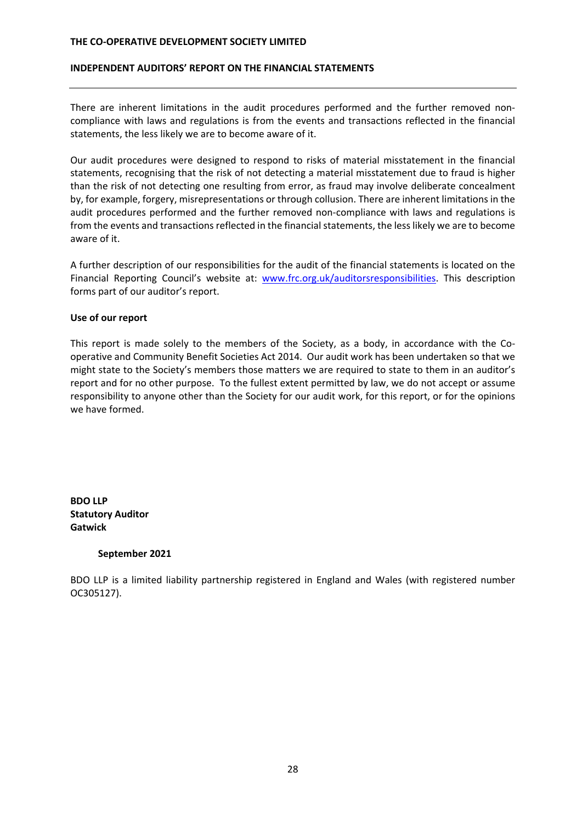#### **INDEPENDENT AUDITORS' REPORT ON THE FINANCIAL STATEMENTS**

There are inherent limitations in the audit procedures performed and the further removed noncompliance with laws and regulations is from the events and transactions reflected in the financial statements, the less likely we are to become aware of it.

Our audit procedures were designed to respond to risks of material misstatement in the financial statements, recognising that the risk of not detecting a material misstatement due to fraud is higher than the risk of not detecting one resulting from error, as fraud may involve deliberate concealment by, for example, forgery, misrepresentations or through collusion. There are inherent limitations in the audit procedures performed and the further removed non-compliance with laws and regulations is from the events and transactions reflected in the financial statements, the less likely we are to become aware of it.

A further description of our responsibilities for the audit of the financial statements is located on the Financial Reporting Council's website at: www.frc.org.uk/auditorsresponsibilities. This description forms part of our auditor's report.

#### **Use of our report**

This report is made solely to the members of the Society, as a body, in accordance with the Co‐ operative and Community Benefit Societies Act 2014. Our audit work has been undertaken so that we might state to the Society's members those matters we are required to state to them in an auditor's report and for no other purpose. To the fullest extent permitted by law, we do not accept or assume responsibility to anyone other than the Society for our audit work, for this report, or for the opinions we have formed.

**BDO LLP Statutory Auditor Gatwick**

#### **September 2021**

BDO LLP is a limited liability partnership registered in England and Wales (with registered number OC305127).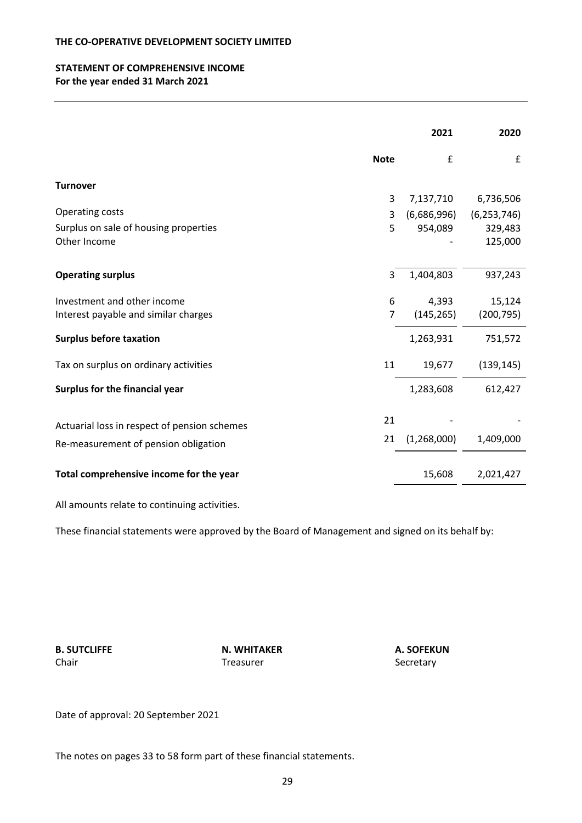# **STATEMENT OF COMPREHENSIVE INCOME For the year ended 31 March 2021**

|                                                        | 2021               | 2020          |
|--------------------------------------------------------|--------------------|---------------|
| <b>Note</b>                                            | $\pmb{\mathsf{f}}$ | £             |
| <b>Turnover</b>                                        |                    |               |
| 3                                                      | 7,137,710          | 6,736,506     |
| Operating costs<br>3                                   | (6,686,996)        | (6, 253, 746) |
| Surplus on sale of housing properties<br>5             | 954,089            | 329,483       |
| Other Income                                           |                    | 125,000       |
| <b>Operating surplus</b><br>3                          | 1,404,803          | 937,243       |
| Investment and other income<br>6                       | 4,393              | 15,124        |
| $\overline{7}$<br>Interest payable and similar charges | (145, 265)         | (200, 795)    |
| <b>Surplus before taxation</b>                         | 1,263,931          | 751,572       |
| Tax on surplus on ordinary activities<br>11            | 19,677             | (139, 145)    |
| Surplus for the financial year                         | 1,283,608          | 612,427       |
| 21<br>Actuarial loss in respect of pension schemes     |                    |               |
| 21                                                     | (1,268,000)        | 1,409,000     |
| Re-measurement of pension obligation                   |                    |               |
| Total comprehensive income for the year                | 15,608             | 2,021,427     |

All amounts relate to continuing activities.

These financial statements were approved by the Board of Management and signed on its behalf by:

**B. SUTCLIFFE N. WHITAKER A. SOFEKUN**  Chair **Chair** Chair **Treasurer Secretary** 

Date of approval: 20 September 2021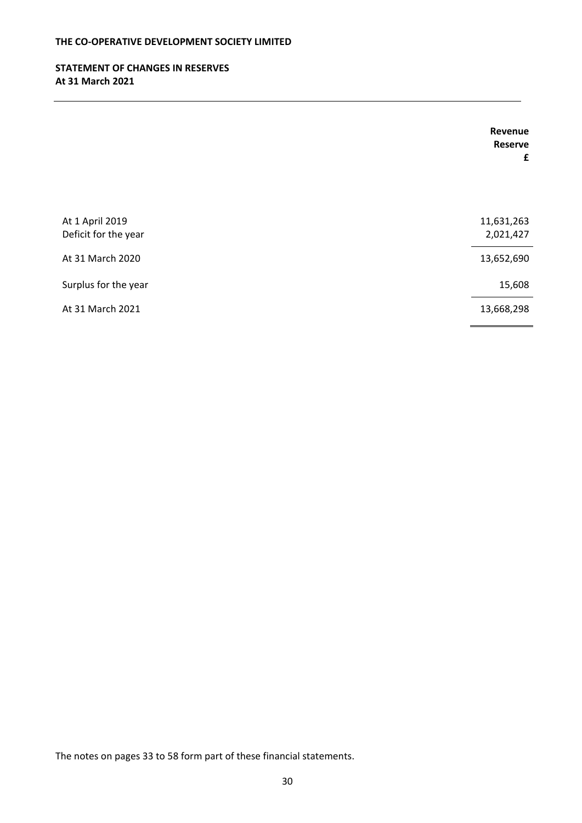# **STATEMENT OF CHANGES IN RESERVES At 31 March 2021**

|                                         | Revenue<br><b>Reserve</b><br>£ |
|-----------------------------------------|--------------------------------|
| At 1 April 2019<br>Deficit for the year | 11,631,263<br>2,021,427        |
| At 31 March 2020                        | 13,652,690                     |
| Surplus for the year                    | 15,608                         |
| At 31 March 2021                        | 13,668,298                     |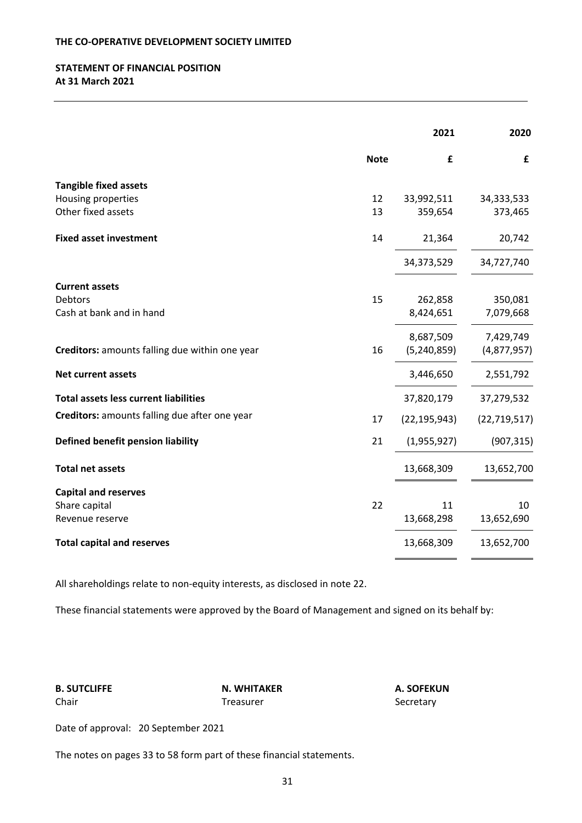# **STATEMENT OF FINANCIAL POSITION At 31 March 2021**

|                                                |             | 2021           | 2020           |
|------------------------------------------------|-------------|----------------|----------------|
|                                                | <b>Note</b> | £              | £              |
| <b>Tangible fixed assets</b>                   |             |                |                |
| Housing properties                             | 12          | 33,992,511     | 34,333,533     |
| Other fixed assets                             | 13          | 359,654        | 373,465        |
| <b>Fixed asset investment</b>                  | 14          | 21,364         | 20,742         |
|                                                |             | 34,373,529     | 34,727,740     |
| <b>Current assets</b>                          |             |                |                |
| <b>Debtors</b>                                 | 15          | 262,858        | 350,081        |
| Cash at bank and in hand                       |             | 8,424,651      | 7,079,668      |
|                                                |             | 8,687,509      | 7,429,749      |
| Creditors: amounts falling due within one year | 16          | (5, 240, 859)  | (4,877,957)    |
| <b>Net current assets</b>                      |             | 3,446,650      | 2,551,792      |
| <b>Total assets less current liabilities</b>   |             | 37,820,179     | 37,279,532     |
| Creditors: amounts falling due after one year  | 17          | (22, 195, 943) | (22, 719, 517) |
| Defined benefit pension liability              | 21          | (1,955,927)    | (907, 315)     |
| <b>Total net assets</b>                        |             | 13,668,309     | 13,652,700     |
| <b>Capital and reserves</b>                    |             |                |                |
| Share capital                                  | 22          | 11             | 10             |
| Revenue reserve                                |             | 13,668,298     | 13,652,690     |
| <b>Total capital and reserves</b>              |             | 13,668,309     | 13,652,700     |

All shareholdings relate to non-equity interests, as disclosed in note 22.

These financial statements were approved by the Board of Management and signed on its behalf by:

**B. SUTCLIFFE N. WHITAKER A. SOFEKUN** 

Treasurer **Chair Treasurer** Secretary

Date of approval: 20 September 2021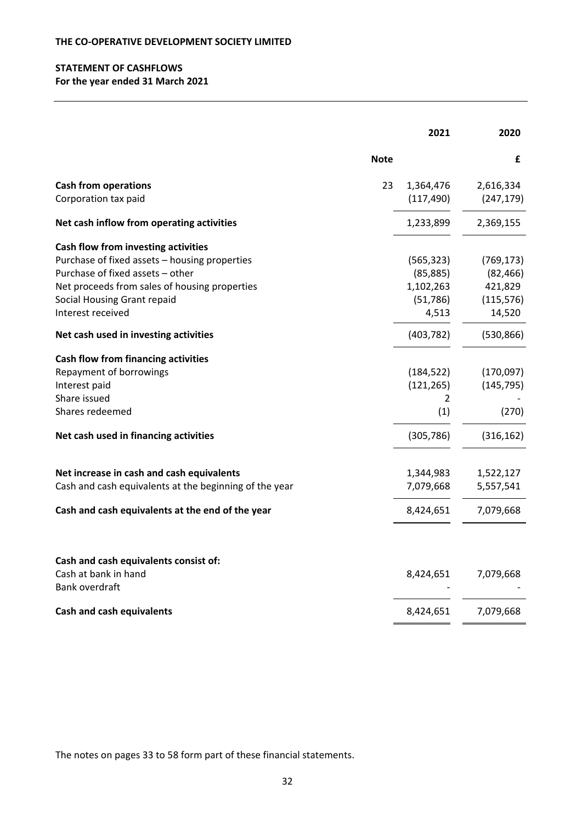# **STATEMENT OF CASHFLOWS For the year ended 31 March 2021**

|                                                                                 |             | 2021       | 2020       |
|---------------------------------------------------------------------------------|-------------|------------|------------|
|                                                                                 | <b>Note</b> |            | £          |
| <b>Cash from operations</b>                                                     | 23          | 1,364,476  | 2,616,334  |
| Corporation tax paid                                                            |             | (117, 490) | (247, 179) |
| Net cash inflow from operating activities                                       |             | 1,233,899  | 2,369,155  |
| Cash flow from investing activities                                             |             |            |            |
| Purchase of fixed assets - housing properties                                   |             | (565, 323) | (769, 173) |
| Purchase of fixed assets - other                                                |             | (85, 885)  | (82, 466)  |
| Net proceeds from sales of housing properties                                   |             | 1,102,263  | 421,829    |
| Social Housing Grant repaid                                                     |             | (51, 786)  | (115, 576) |
| Interest received                                                               |             | 4,513      | 14,520     |
| Net cash used in investing activities                                           |             | (403, 782) | (530, 866) |
| <b>Cash flow from financing activities</b>                                      |             |            |            |
| Repayment of borrowings                                                         |             | (184, 522) | (170,097)  |
| Interest paid                                                                   |             | (121, 265) | (145, 795) |
| Share issued                                                                    |             | 2          |            |
| Shares redeemed                                                                 |             | (1)        | (270)      |
| Net cash used in financing activities                                           |             | (305, 786) | (316, 162) |
| Net increase in cash and cash equivalents                                       |             | 1,344,983  | 1,522,127  |
| Cash and cash equivalents at the beginning of the year                          |             | 7,079,668  | 5,557,541  |
| Cash and cash equivalents at the end of the year                                |             | 8,424,651  | 7,079,668  |
|                                                                                 |             |            |            |
| Cash and cash equivalents consist of:<br>Cash at bank in hand<br>Bank overdraft |             | 8,424,651  | 7,079,668  |
| <b>Cash and cash equivalents</b>                                                |             | 8,424,651  | 7,079,668  |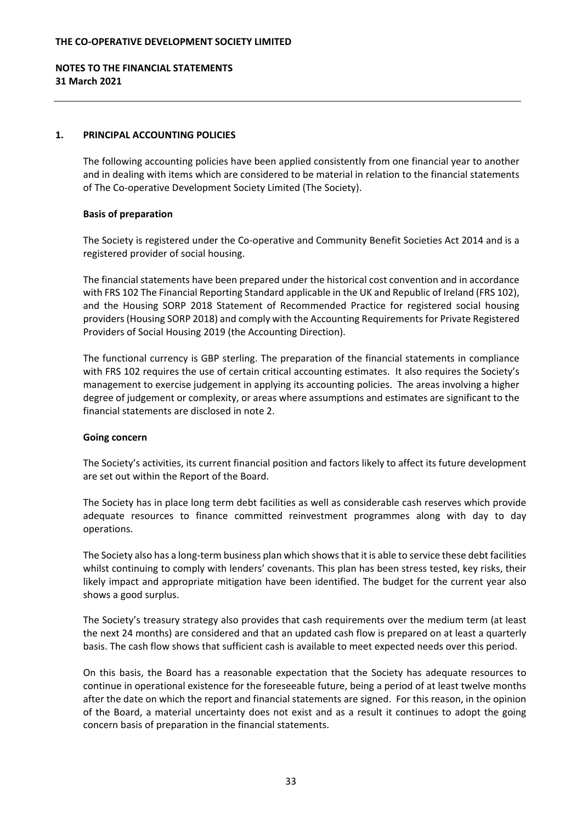# **NOTES TO THE FINANCIAL STATEMENTS 31 March 2021**

# **1. PRINCIPAL ACCOUNTING POLICIES**

The following accounting policies have been applied consistently from one financial year to another and in dealing with items which are considered to be material in relation to the financial statements of The Co-operative Development Society Limited (The Society).

# **Basis of preparation**

The Society is registered under the Co-operative and Community Benefit Societies Act 2014 and is a registered provider of social housing.

The financial statements have been prepared under the historical cost convention and in accordance with FRS 102 The Financial Reporting Standard applicable in the UK and Republic of Ireland (FRS 102), and the Housing SORP 2018 Statement of Recommended Practice for registered social housing providers(Housing SORP 2018) and comply with the Accounting Requirements for Private Registered Providers of Social Housing 2019 (the Accounting Direction).

The functional currency is GBP sterling. The preparation of the financial statements in compliance with FRS 102 requires the use of certain critical accounting estimates. It also requires the Society's management to exercise judgement in applying its accounting policies. The areas involving a higher degree of judgement or complexity, or areas where assumptions and estimates are significant to the financial statements are disclosed in note 2.

# **Going concern**

The Society's activities, its current financial position and factors likely to affect its future development are set out within the Report of the Board.

The Society has in place long term debt facilities as well as considerable cash reserves which provide adequate resources to finance committed reinvestment programmes along with day to day operations.

The Society also has a long-term business plan which shows that it is able to service these debt facilities whilst continuing to comply with lenders' covenants. This plan has been stress tested, key risks, their likely impact and appropriate mitigation have been identified. The budget for the current year also shows a good surplus.

The Society's treasury strategy also provides that cash requirements over the medium term (at least the next 24 months) are considered and that an updated cash flow is prepared on at least a quarterly basis. The cash flow shows that sufficient cash is available to meet expected needs over this period.

On this basis, the Board has a reasonable expectation that the Society has adequate resources to continue in operational existence for the foreseeable future, being a period of at least twelve months after the date on which the report and financial statements are signed. For this reason, in the opinion of the Board, a material uncertainty does not exist and as a result it continues to adopt the going concern basis of preparation in the financial statements.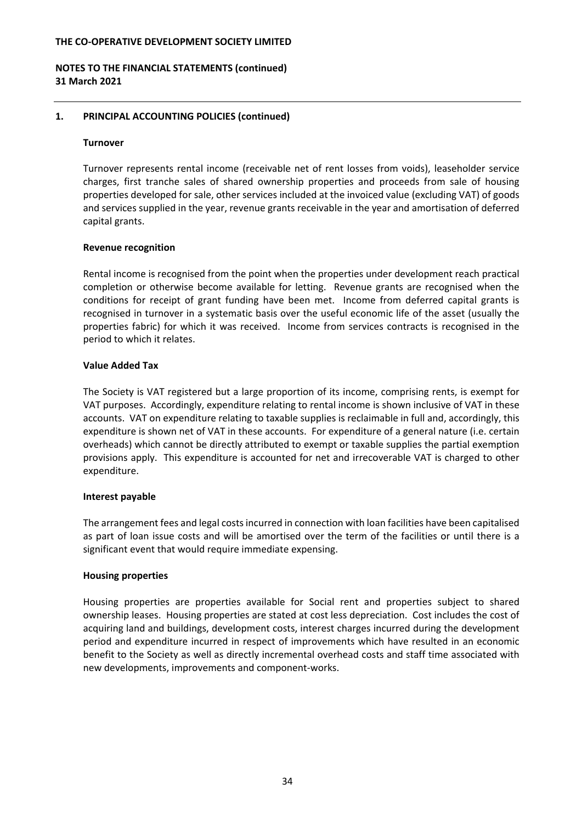# **NOTES TO THE FINANCIAL STATEMENTS (continued) 31 March 2021**

### **1. PRINCIPAL ACCOUNTING POLICIES (continued)**

#### **Turnover**

Turnover represents rental income (receivable net of rent losses from voids), leaseholder service charges, first tranche sales of shared ownership properties and proceeds from sale of housing properties developed for sale, other services included at the invoiced value (excluding VAT) of goods and services supplied in the year, revenue grants receivable in the year and amortisation of deferred capital grants.

### **Revenue recognition**

Rental income is recognised from the point when the properties under development reach practical completion or otherwise become available for letting. Revenue grants are recognised when the conditions for receipt of grant funding have been met. Income from deferred capital grants is recognised in turnover in a systematic basis over the useful economic life of the asset (usually the properties fabric) for which it was received. Income from services contracts is recognised in the period to which it relates.

# **Value Added Tax**

The Society is VAT registered but a large proportion of its income, comprising rents, is exempt for VAT purposes. Accordingly, expenditure relating to rental income is shown inclusive of VAT in these accounts. VAT on expenditure relating to taxable supplies is reclaimable in full and, accordingly, this expenditure is shown net of VAT in these accounts. For expenditure of a general nature (i.e. certain overheads) which cannot be directly attributed to exempt or taxable supplies the partial exemption provisions apply. This expenditure is accounted for net and irrecoverable VAT is charged to other expenditure.

# **Interest payable**

The arrangement fees and legal costsincurred in connection with loan facilities have been capitalised as part of loan issue costs and will be amortised over the term of the facilities or until there is a significant event that would require immediate expensing.

# **Housing properties**

Housing properties are properties available for Social rent and properties subject to shared ownership leases. Housing properties are stated at cost less depreciation. Cost includes the cost of acquiring land and buildings, development costs, interest charges incurred during the development period and expenditure incurred in respect of improvements which have resulted in an economic benefit to the Society as well as directly incremental overhead costs and staff time associated with new developments, improvements and component‐works.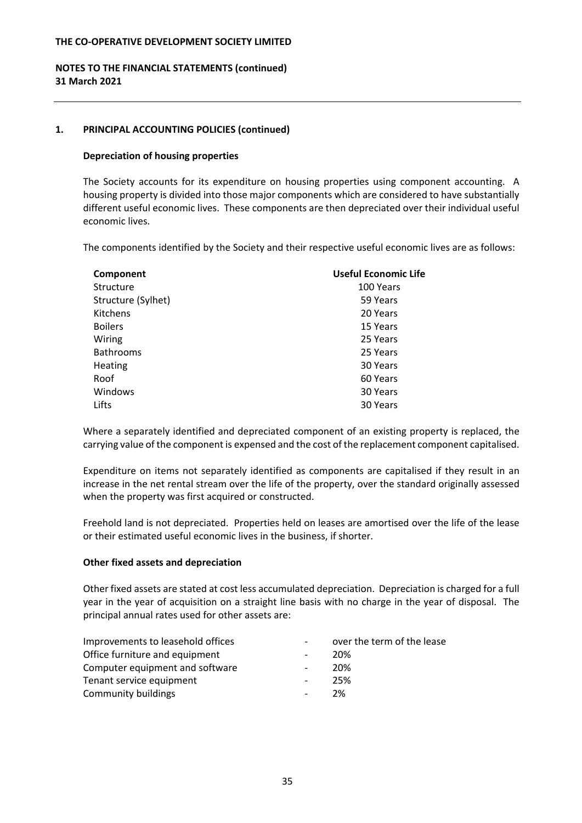# **NOTES TO THE FINANCIAL STATEMENTS (continued) 31 March 2021**

### **1. PRINCIPAL ACCOUNTING POLICIES (continued)**

#### **Depreciation of housing properties**

The Society accounts for its expenditure on housing properties using component accounting. A housing property is divided into those major components which are considered to have substantially different useful economic lives. These components are then depreciated over their individual useful economic lives.

The components identified by the Society and their respective useful economic lives are as follows:

| Component          | Useful Economic Life |
|--------------------|----------------------|
| Structure          | 100 Years            |
| Structure (Sylhet) | 59 Years             |
| <b>Kitchens</b>    | 20 Years             |
| <b>Boilers</b>     | 15 Years             |
| Wiring             | 25 Years             |
| <b>Bathrooms</b>   | 25 Years             |
| Heating            | 30 Years             |
| Roof               | 60 Years             |
| Windows            | 30 Years             |
| Lifts              | 30 Years             |

Where a separately identified and depreciated component of an existing property is replaced, the carrying value of the component is expensed and the cost of the replacement component capitalised.

Expenditure on items not separately identified as components are capitalised if they result in an increase in the net rental stream over the life of the property, over the standard originally assessed when the property was first acquired or constructed.

Freehold land is not depreciated. Properties held on leases are amortised over the life of the lease or their estimated useful economic lives in the business, if shorter.

#### **Other fixed assets and depreciation**

Other fixed assets are stated at cost less accumulated depreciation. Depreciation is charged for a full year in the year of acquisition on a straight line basis with no charge in the year of disposal. The principal annual rates used for other assets are:

| Improvements to leasehold offices |                          | over the term of the lease |
|-----------------------------------|--------------------------|----------------------------|
| Office furniture and equipment    | $\overline{\phantom{a}}$ | 20%                        |
| Computer equipment and software   |                          | 20%                        |
| Tenant service equipment          | $\overline{\phantom{a}}$ | 25%                        |
| Community buildings               | $\sim$                   | 2%                         |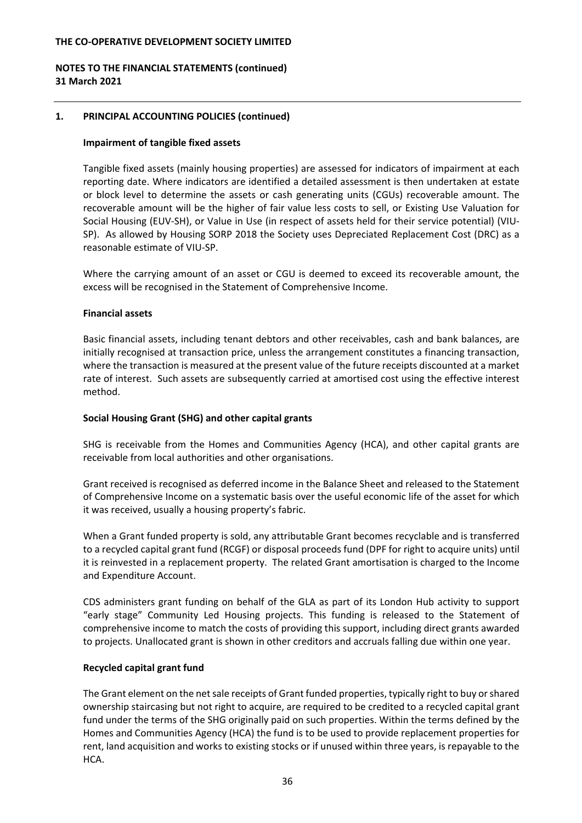# **NOTES TO THE FINANCIAL STATEMENTS (continued) 31 March 2021**

# **1. PRINCIPAL ACCOUNTING POLICIES (continued)**

### **Impairment of tangible fixed assets**

Tangible fixed assets (mainly housing properties) are assessed for indicators of impairment at each reporting date. Where indicators are identified a detailed assessment is then undertaken at estate or block level to determine the assets or cash generating units (CGUs) recoverable amount. The recoverable amount will be the higher of fair value less costs to sell, or Existing Use Valuation for Social Housing (EUV‐SH), or Value in Use (in respect of assets held for their service potential) (VIU‐ SP). As allowed by Housing SORP 2018 the Society uses Depreciated Replacement Cost (DRC) as a reasonable estimate of VIU‐SP.

Where the carrying amount of an asset or CGU is deemed to exceed its recoverable amount, the excess will be recognised in the Statement of Comprehensive Income.

#### **Financial assets**

Basic financial assets, including tenant debtors and other receivables, cash and bank balances, are initially recognised at transaction price, unless the arrangement constitutes a financing transaction, where the transaction is measured at the present value of the future receipts discounted at a market rate of interest. Such assets are subsequently carried at amortised cost using the effective interest method.

# **Social Housing Grant (SHG) and other capital grants**

SHG is receivable from the Homes and Communities Agency (HCA), and other capital grants are receivable from local authorities and other organisations.

Grant received is recognised as deferred income in the Balance Sheet and released to the Statement of Comprehensive Income on a systematic basis over the useful economic life of the asset for which it was received, usually a housing property's fabric.

When a Grant funded property is sold, any attributable Grant becomes recyclable and is transferred to a recycled capital grant fund (RCGF) or disposal proceeds fund (DPF for right to acquire units) until it is reinvested in a replacement property. The related Grant amortisation is charged to the Income and Expenditure Account.

CDS administers grant funding on behalf of the GLA as part of its London Hub activity to support "early stage" Community Led Housing projects. This funding is released to the Statement of comprehensive income to match the costs of providing this support, including direct grants awarded to projects. Unallocated grant is shown in other creditors and accruals falling due within one year.

# **Recycled capital grant fund**

The Grant element on the netsale receipts of Grant funded properties, typically right to buy orshared ownership staircasing but not right to acquire, are required to be credited to a recycled capital grant fund under the terms of the SHG originally paid on such properties. Within the terms defined by the Homes and Communities Agency (HCA) the fund is to be used to provide replacement properties for rent, land acquisition and works to existing stocks or if unused within three years, is repayable to the HCA.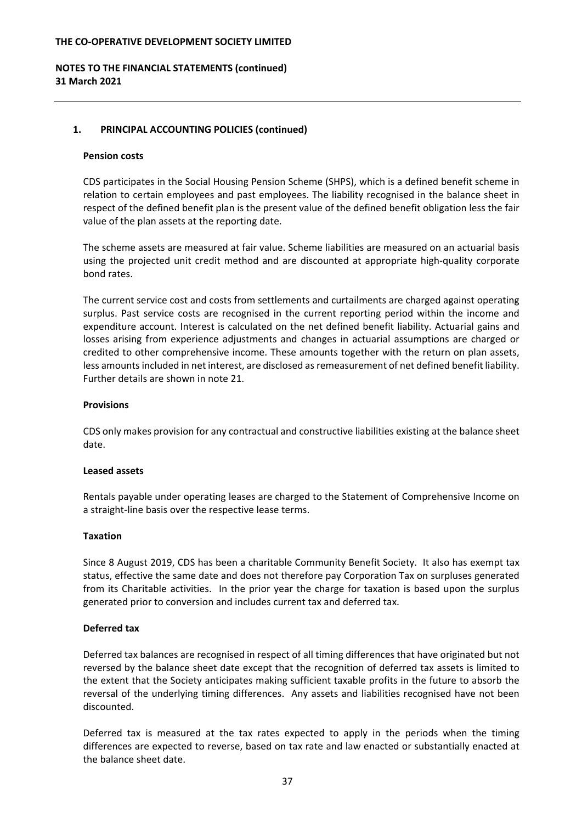# **NOTES TO THE FINANCIAL STATEMENTS (continued) 31 March 2021**

# **1. PRINCIPAL ACCOUNTING POLICIES (continued)**

### **Pension costs**

CDS participates in the Social Housing Pension Scheme (SHPS), which is a defined benefit scheme in relation to certain employees and past employees. The liability recognised in the balance sheet in respect of the defined benefit plan is the present value of the defined benefit obligation less the fair value of the plan assets at the reporting date.

The scheme assets are measured at fair value. Scheme liabilities are measured on an actuarial basis using the projected unit credit method and are discounted at appropriate high‐quality corporate bond rates.

The current service cost and costs from settlements and curtailments are charged against operating surplus. Past service costs are recognised in the current reporting period within the income and expenditure account. Interest is calculated on the net defined benefit liability. Actuarial gains and losses arising from experience adjustments and changes in actuarial assumptions are charged or credited to other comprehensive income. These amounts together with the return on plan assets, less amounts included in net interest, are disclosed as remeasurement of net defined benefit liability. Further details are shown in note 21.

# **Provisions**

CDS only makes provision for any contractual and constructive liabilities existing at the balance sheet date.

# **Leased assets**

Rentals payable under operating leases are charged to the Statement of Comprehensive Income on a straight‐line basis over the respective lease terms.

# **Taxation**

Since 8 August 2019, CDS has been a charitable Community Benefit Society. It also has exempt tax status, effective the same date and does not therefore pay Corporation Tax on surpluses generated from its Charitable activities. In the prior year the charge for taxation is based upon the surplus generated prior to conversion and includes current tax and deferred tax.

# **Deferred tax**

Deferred tax balances are recognised in respect of all timing differences that have originated but not reversed by the balance sheet date except that the recognition of deferred tax assets is limited to the extent that the Society anticipates making sufficient taxable profits in the future to absorb the reversal of the underlying timing differences. Any assets and liabilities recognised have not been discounted.

Deferred tax is measured at the tax rates expected to apply in the periods when the timing differences are expected to reverse, based on tax rate and law enacted or substantially enacted at the balance sheet date.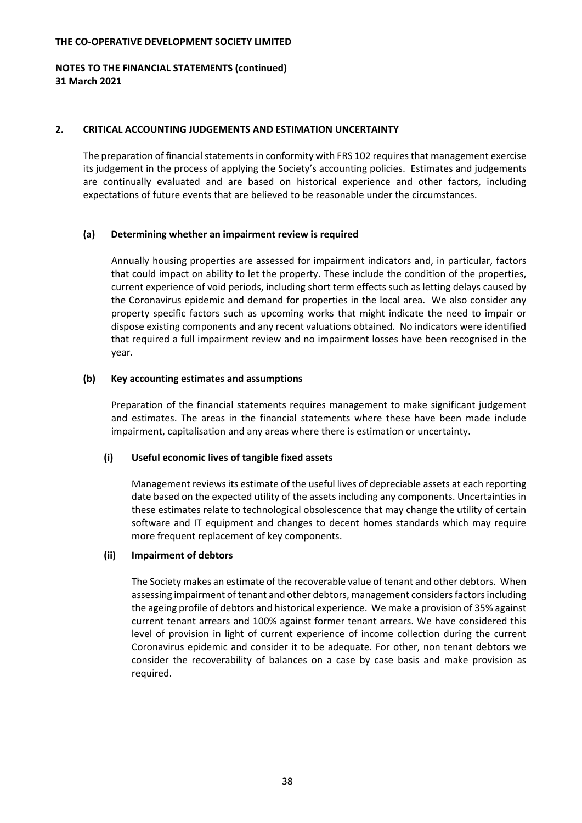# **NOTES TO THE FINANCIAL STATEMENTS (continued) 31 March 2021**

# **2. CRITICAL ACCOUNTING JUDGEMENTS AND ESTIMATION UNCERTAINTY**

The preparation of financial statements in conformity with FRS 102 requires that management exercise its judgement in the process of applying the Society's accounting policies. Estimates and judgements are continually evaluated and are based on historical experience and other factors, including expectations of future events that are believed to be reasonable under the circumstances.

# **(a) Determining whether an impairment review is required**

Annually housing properties are assessed for impairment indicators and, in particular, factors that could impact on ability to let the property. These include the condition of the properties, current experience of void periods, including short term effects such as letting delays caused by the Coronavirus epidemic and demand for properties in the local area. We also consider any property specific factors such as upcoming works that might indicate the need to impair or dispose existing components and any recent valuations obtained. No indicators were identified that required a full impairment review and no impairment losses have been recognised in the year.

### **(b) Key accounting estimates and assumptions**

Preparation of the financial statements requires management to make significant judgement and estimates. The areas in the financial statements where these have been made include impairment, capitalisation and any areas where there is estimation or uncertainty.

# **(i) Useful economic lives of tangible fixed assets**

Management reviewsits estimate of the useful lives of depreciable assets at each reporting date based on the expected utility of the assets including any components. Uncertainties in these estimates relate to technological obsolescence that may change the utility of certain software and IT equipment and changes to decent homes standards which may require more frequent replacement of key components.

# **(ii) Impairment of debtors**

The Society makes an estimate of the recoverable value of tenant and other debtors. When assessing impairment of tenant and other debtors, management considersfactorsincluding the ageing profile of debtors and historical experience. We make a provision of 35% against current tenant arrears and 100% against former tenant arrears. We have considered this level of provision in light of current experience of income collection during the current Coronavirus epidemic and consider it to be adequate. For other, non tenant debtors we consider the recoverability of balances on a case by case basis and make provision as required.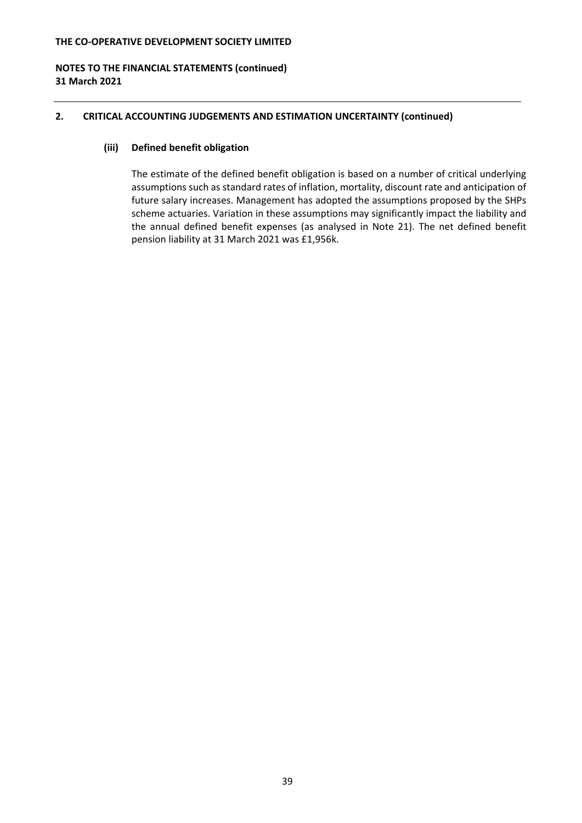# **NOTES TO THE FINANCIAL STATEMENTS (continued) 31 March 2021**

# **2. CRITICAL ACCOUNTING JUDGEMENTS AND ESTIMATION UNCERTAINTY (continued)**

# **(iii) Defined benefit obligation**

The estimate of the defined benefit obligation is based on a number of critical underlying assumptions such as standard rates of inflation, mortality, discount rate and anticipation of future salary increases. Management has adopted the assumptions proposed by the SHPs scheme actuaries. Variation in these assumptions may significantly impact the liability and the annual defined benefit expenses (as analysed in Note 21). The net defined benefit pension liability at 31 March 2021 was £1,956k.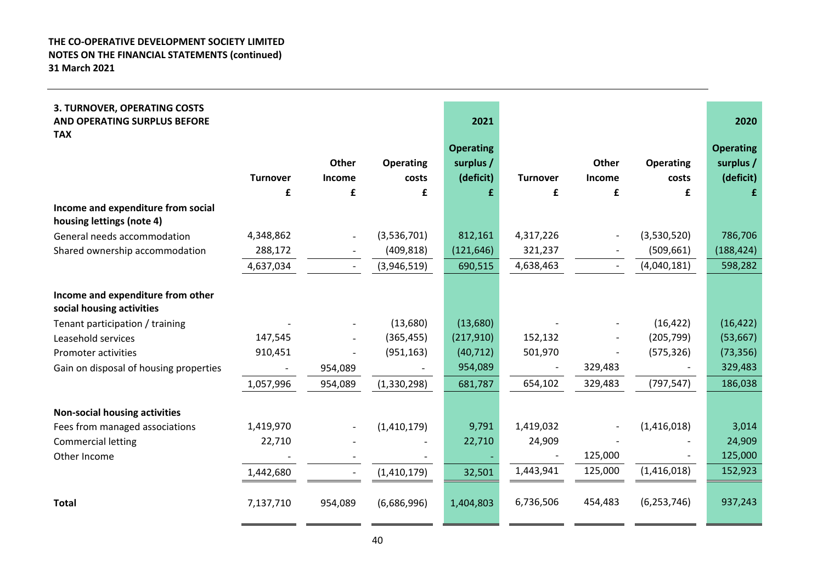| 3. TURNOVER, OPERATING COSTS<br>AND OPERATING SURPLUS BEFORE<br><b>TAX</b> |                 |              |                  | 2021                          |                 |              |                  | 2020                          |
|----------------------------------------------------------------------------|-----------------|--------------|------------------|-------------------------------|-----------------|--------------|------------------|-------------------------------|
|                                                                            |                 | <b>Other</b> | <b>Operating</b> | <b>Operating</b><br>surplus / |                 | <b>Other</b> | <b>Operating</b> | <b>Operating</b><br>surplus / |
|                                                                            | <b>Turnover</b> | Income       | costs            | (deficit)                     | <b>Turnover</b> | Income       | costs            | (deficit)                     |
|                                                                            | £               | £            | £                | £                             | £               | £            | £                | £                             |
| Income and expenditure from social<br>housing lettings (note 4)            |                 |              |                  |                               |                 |              |                  |                               |
| General needs accommodation                                                | 4,348,862       |              | (3,536,701)      | 812,161                       | 4,317,226       |              | (3,530,520)      | 786,706                       |
| Shared ownership accommodation                                             | 288,172         |              | (409, 818)       | (121, 646)                    | 321,237         |              | (509, 661)       | (188, 424)                    |
|                                                                            | 4,637,034       |              | (3,946,519)      | 690,515                       | 4,638,463       |              | (4,040,181)      | 598,282                       |
|                                                                            |                 |              |                  |                               |                 |              |                  |                               |
| Income and expenditure from other<br>social housing activities             |                 |              |                  |                               |                 |              |                  |                               |
| Tenant participation / training                                            |                 |              | (13,680)         | (13,680)                      |                 |              | (16, 422)        | (16, 422)                     |
| Leasehold services                                                         | 147,545         |              | (365, 455)       | (217, 910)                    | 152,132         |              | (205, 799)       | (53, 667)                     |
| Promoter activities                                                        | 910,451         |              | (951, 163)       | (40, 712)                     | 501,970         |              | (575, 326)       | (73, 356)                     |
| Gain on disposal of housing properties                                     |                 | 954,089      |                  | 954,089                       |                 | 329,483      |                  | 329,483                       |
|                                                                            | 1,057,996       | 954,089      | (1,330,298)      | 681,787                       | 654,102         | 329,483      | (797, 547)       | 186,038                       |
|                                                                            |                 |              |                  |                               |                 |              |                  |                               |
| <b>Non-social housing activities</b>                                       |                 |              |                  |                               |                 |              |                  |                               |
| Fees from managed associations                                             | 1,419,970       |              | (1,410,179)      | 9,791                         | 1,419,032       |              | (1,416,018)      | 3,014                         |
| <b>Commercial letting</b>                                                  | 22,710          |              |                  | 22,710                        | 24,909          |              |                  | 24,909                        |
| Other Income                                                               |                 |              |                  |                               |                 | 125,000      |                  | 125,000                       |
|                                                                            | 1,442,680       |              | (1,410,179)      | 32,501                        | 1,443,941       | 125,000      | (1,416,018)      | 152,923                       |
| <b>Total</b>                                                               | 7,137,710       | 954,089      | (6,686,996)      | 1,404,803                     | 6,736,506       | 454,483      | (6, 253, 746)    | 937,243                       |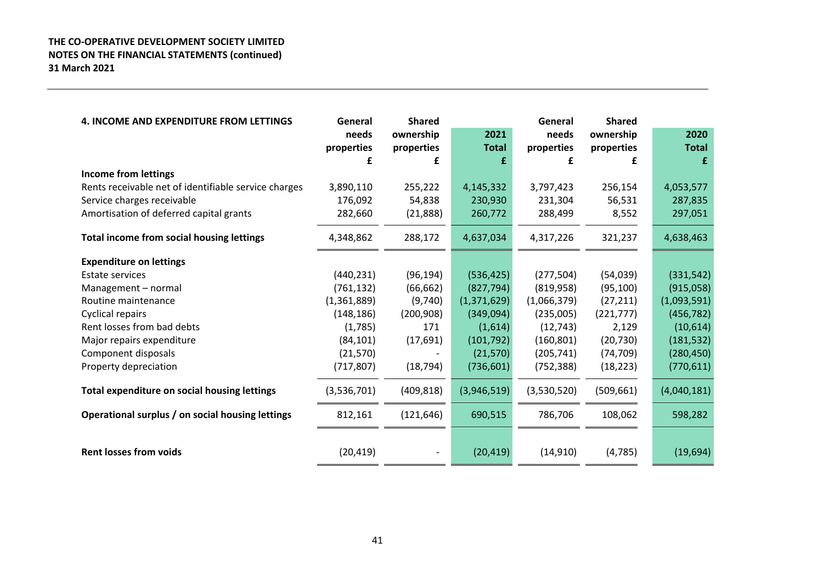| <b>4. INCOME AND EXPENDITURE FROM LETTINGS</b>       | General     | <b>Shared</b>            |              | General     | <b>Shared</b> |              |
|------------------------------------------------------|-------------|--------------------------|--------------|-------------|---------------|--------------|
|                                                      | needs       | ownership                | 2021         | needs       | ownership     | 2020         |
|                                                      | properties  | properties               | <b>Total</b> | properties  | properties    | <b>Total</b> |
|                                                      | £           | £                        | £            | £           | £             | £            |
| <b>Income from lettings</b>                          |             |                          |              |             |               |              |
| Rents receivable net of identifiable service charges | 3,890,110   | 255,222                  | 4,145,332    | 3,797,423   | 256,154       | 4,053,577    |
| Service charges receivable                           | 176,092     | 54,838                   | 230,930      | 231,304     | 56,531        | 287,835      |
| Amortisation of deferred capital grants              | 282,660     | (21,888)                 | 260,772      | 288,499     | 8,552         | 297,051      |
| Total income from social housing lettings            | 4,348,862   | 288,172                  | 4,637,034    | 4,317,226   | 321,237       | 4,638,463    |
| <b>Expenditure on lettings</b>                       |             |                          |              |             |               |              |
| <b>Estate services</b>                               | (440, 231)  | (96, 194)                | (536, 425)   | (277, 504)  | (54,039)      | (331, 542)   |
| Management - normal                                  | (761, 132)  | (66, 662)                | (827, 794)   | (819, 958)  | (95, 100)     | (915,058)    |
| Routine maintenance                                  | (1,361,889) | (9,740)                  | (1,371,629)  | (1,066,379) | (27, 211)     | (1,093,591)  |
| Cyclical repairs                                     | (148, 186)  | (200, 908)               | (349,094)    | (235,005)   | (221, 777)    | (456, 782)   |
| Rent losses from bad debts                           | (1,785)     | 171                      | (1,614)      | (12, 743)   | 2,129         | (10,614)     |
| Major repairs expenditure                            | (84, 101)   | (17, 691)                | (101, 792)   | (160, 801)  | (20, 730)     | (181, 532)   |
| Component disposals                                  | (21, 570)   |                          | (21, 570)    | (205, 741)  | (74, 709)     | (280, 450)   |
| Property depreciation                                | (717, 807)  | (18, 794)                | (736, 601)   | (752, 388)  | (18, 223)     | (770, 611)   |
| Total expenditure on social housing lettings         | (3,536,701) | (409, 818)               | (3,946,519)  | (3,530,520) | (509, 661)    | (4,040,181)  |
| Operational surplus / on social housing lettings     | 812,161     | (121, 646)               | 690,515      | 786,706     | 108,062       | 598,282      |
| <b>Rent losses from voids</b>                        | (20, 419)   | $\overline{\phantom{a}}$ | (20, 419)    | (14, 910)   | (4, 785)      | (19, 694)    |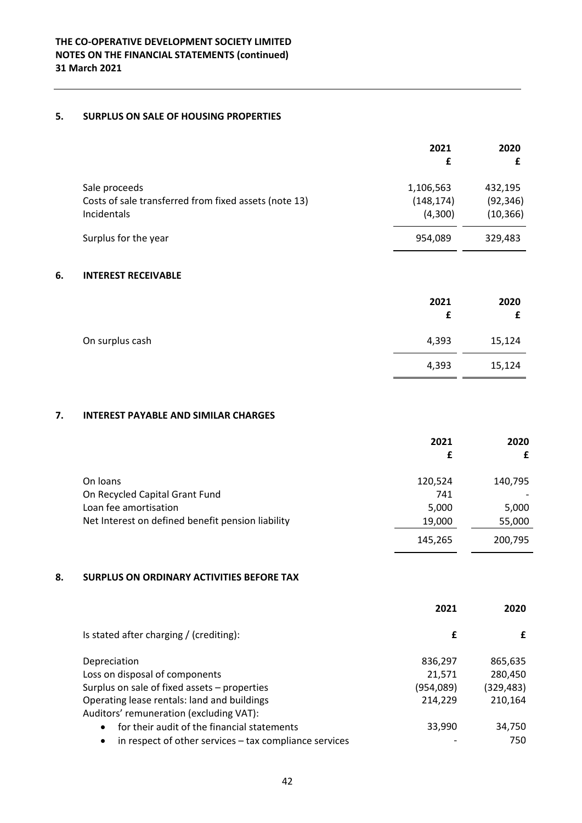# **5. SURPLUS ON SALE OF HOUSING PROPERTIES**

|                                                                                       | 2021<br>£                          | 2020                              |
|---------------------------------------------------------------------------------------|------------------------------------|-----------------------------------|
| Sale proceeds<br>Costs of sale transferred from fixed assets (note 13)<br>Incidentals | 1,106,563<br>(148, 174)<br>(4,300) | 432,195<br>(92, 346)<br>(10, 366) |
| Surplus for the year                                                                  | 954,089                            | 329,483                           |

# **6. INTEREST RECEIVABLE**

|                 | 2021<br>£ | 2020   |
|-----------------|-----------|--------|
| On surplus cash | 4,393     | 15,124 |
|                 | 4,393     | 15,124 |

# **7. INTEREST PAYABLE AND SIMILAR CHARGES**

|                                                   | 2021    | 2020    |
|---------------------------------------------------|---------|---------|
|                                                   | £       |         |
| On loans                                          | 120,524 | 140,795 |
| On Recycled Capital Grant Fund                    | 741     |         |
| Loan fee amortisation                             | 5,000   | 5,000   |
| Net Interest on defined benefit pension liability | 19,000  | 55,000  |
|                                                   | 145,265 | 200,795 |

# **8. SURPLUS ON ORDINARY ACTIVITIES BEFORE TAX**

|                                                                     | 2021      | 2020      |
|---------------------------------------------------------------------|-----------|-----------|
| Is stated after charging / (crediting):                             | £         | £         |
| Depreciation                                                        | 836,297   | 865,635   |
| Loss on disposal of components                                      | 21,571    | 280,450   |
| Surplus on sale of fixed assets - properties                        | (954,089) | (329,483) |
| Operating lease rentals: land and buildings                         | 214,229   | 210,164   |
| Auditors' remuneration (excluding VAT):                             |           |           |
| for their audit of the financial statements<br>$\bullet$            | 33,990    | 34,750    |
| in respect of other services - tax compliance services<br>$\bullet$ |           | 750       |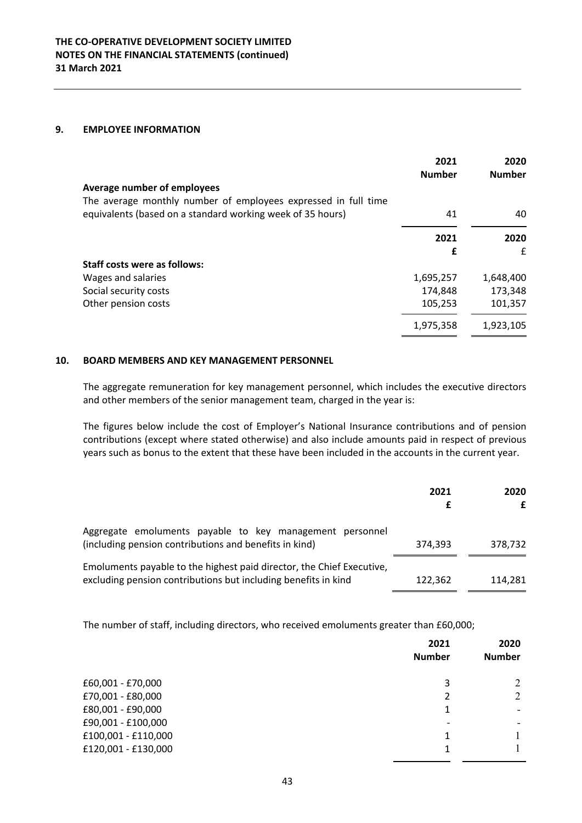#### **9. EMPLOYEE INFORMATION**

|                                                                | 2021<br><b>Number</b> | 2020<br><b>Number</b> |
|----------------------------------------------------------------|-----------------------|-----------------------|
| Average number of employees                                    |                       |                       |
| The average monthly number of employees expressed in full time |                       |                       |
| equivalents (based on a standard working week of 35 hours)     | 41                    | 40                    |
|                                                                | 2021                  | 2020                  |
|                                                                | £                     | £                     |
| <b>Staff costs were as follows:</b>                            |                       |                       |
| Wages and salaries                                             | 1,695,257             | 1,648,400             |
| Social security costs                                          | 174,848               | 173,348               |
| Other pension costs                                            | 105,253               | 101,357               |
|                                                                | 1,975,358             | 1,923,105             |

# **10. BOARD MEMBERS AND KEY MANAGEMENT PERSONNEL**

The aggregate remuneration for key management personnel, which includes the executive directors and other members of the senior management team, charged in the year is:

The figures below include the cost of Employer's National Insurance contributions and of pension contributions (except where stated otherwise) and also include amounts paid in respect of previous years such as bonus to the extent that these have been included in the accounts in the current year.

|                                                                                                                                         | 2021    | 2020<br>£ |
|-----------------------------------------------------------------------------------------------------------------------------------------|---------|-----------|
| Aggregate emoluments payable to key management personnel<br>(including pension contributions and benefits in kind)                      | 374,393 | 378.732   |
| Emoluments payable to the highest paid director, the Chief Executive,<br>excluding pension contributions but including benefits in kind | 122.362 | 114.281   |

The number of staff, including directors, who received emoluments greater than £60,000;

| 2021<br><b>Number</b> | 2020<br><b>Number</b> |
|-----------------------|-----------------------|
| 3                     |                       |
| 2                     | 2                     |
| 1                     |                       |
|                       |                       |
| 1                     |                       |
|                       |                       |
|                       |                       |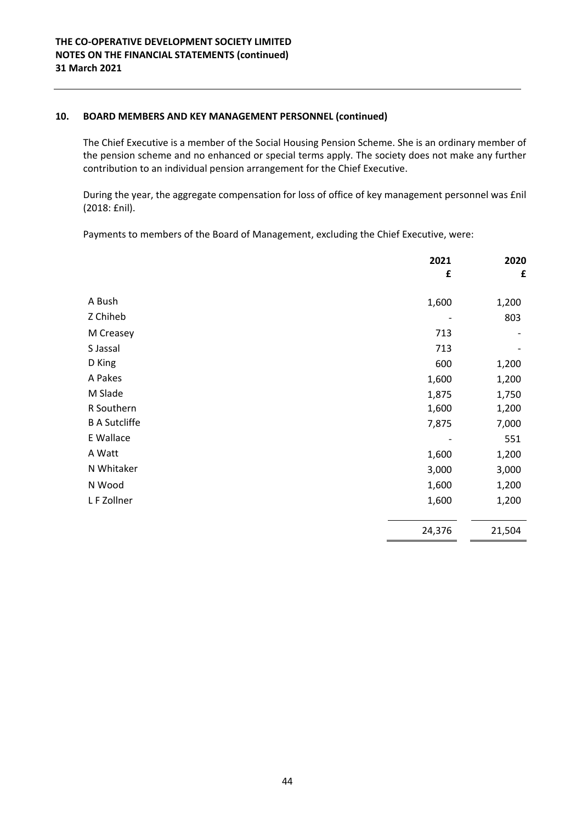# **10. BOARD MEMBERS AND KEY MANAGEMENT PERSONNEL (continued)**

The Chief Executive is a member of the Social Housing Pension Scheme. She is an ordinary member of the pension scheme and no enhanced or special terms apply. The society does not make any further contribution to an individual pension arrangement for the Chief Executive.

During the year, the aggregate compensation for loss of office of key management personnel was £nil (2018: £nil).

Payments to members of the Board of Management, excluding the Chief Executive, were:

|                      | 2021<br>£ | 2020<br>£ |
|----------------------|-----------|-----------|
| A Bush               | 1,600     | 1,200     |
| Z Chiheb             |           | 803       |
| M Creasey            | 713       |           |
| S Jassal             | 713       |           |
| D King               | 600       | 1,200     |
| A Pakes              | 1,600     | 1,200     |
| M Slade              | 1,875     | 1,750     |
| R Southern           | 1,600     | 1,200     |
| <b>B A Sutcliffe</b> | 7,875     | 7,000     |
| E Wallace            |           | 551       |
| A Watt               | 1,600     | 1,200     |
| N Whitaker           | 3,000     | 3,000     |
| N Wood               | 1,600     | 1,200     |
| L F Zollner          | 1,600     | 1,200     |
|                      | 24,376    | 21,504    |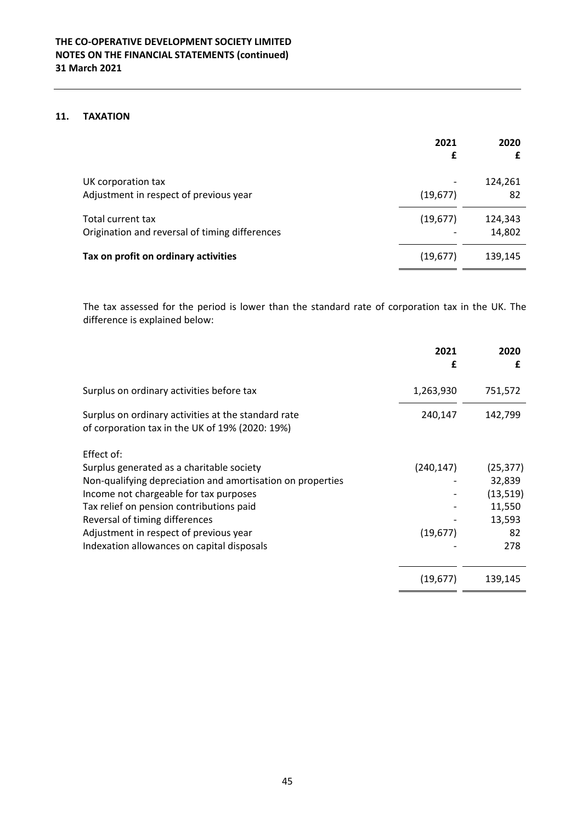# **11. TAXATION**

|                                                                     | 2021<br>£ | 2020              |
|---------------------------------------------------------------------|-----------|-------------------|
| UK corporation tax<br>Adjustment in respect of previous year        | (19, 677) | 124,261<br>82     |
| Total current tax<br>Origination and reversal of timing differences | (19, 677) | 124,343<br>14,802 |
| Tax on profit on ordinary activities                                | (19, 677) | 139,145           |

The tax assessed for the period is lower than the standard rate of corporation tax in the UK. The difference is explained below:

|                                                                                                        | 2021       | 2020      |
|--------------------------------------------------------------------------------------------------------|------------|-----------|
|                                                                                                        | £          | £         |
| Surplus on ordinary activities before tax                                                              | 1,263,930  | 751,572   |
| Surplus on ordinary activities at the standard rate<br>of corporation tax in the UK of 19% (2020: 19%) | 240,147    | 142,799   |
| Effect of:                                                                                             |            |           |
| Surplus generated as a charitable society                                                              | (240, 147) | (25, 377) |
| Non-qualifying depreciation and amortisation on properties                                             |            | 32,839    |
| Income not chargeable for tax purposes                                                                 |            | (13, 519) |
| Tax relief on pension contributions paid                                                               |            | 11,550    |
| Reversal of timing differences                                                                         |            | 13,593    |
| Adjustment in respect of previous year                                                                 | (19, 677)  | 82        |
| Indexation allowances on capital disposals                                                             |            | 278       |
|                                                                                                        | (19, 677)  | 139,145   |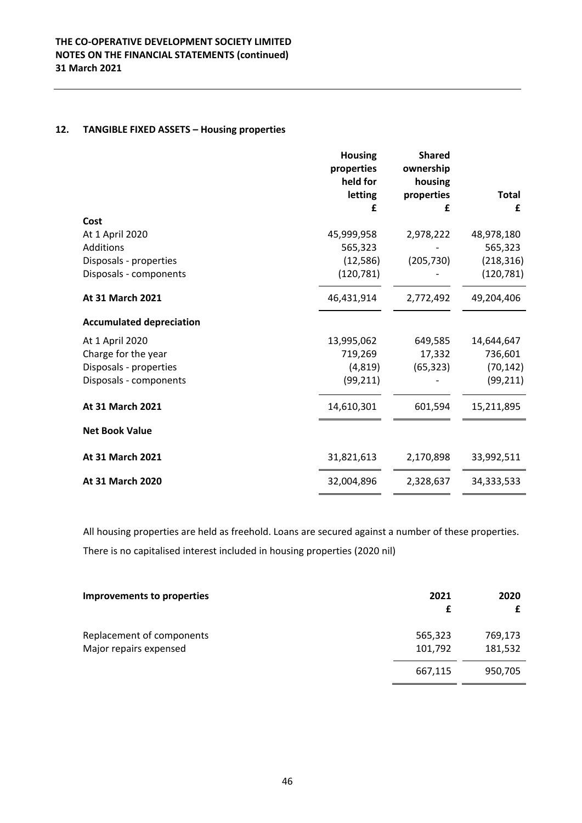# **12. TANGIBLE FIXED ASSETS – Housing properties**

|                                 | <b>Housing</b><br>properties<br>held for | <b>Shared</b><br>ownership<br>housing |              |
|---------------------------------|------------------------------------------|---------------------------------------|--------------|
|                                 | letting                                  | properties                            | <b>Total</b> |
|                                 | £                                        | £                                     | £            |
| Cost                            |                                          |                                       |              |
| At 1 April 2020                 | 45,999,958                               | 2,978,222                             | 48,978,180   |
| Additions                       | 565,323                                  |                                       | 565,323      |
| Disposals - properties          | (12, 586)                                | (205, 730)                            | (218, 316)   |
| Disposals - components          | (120, 781)                               |                                       | (120, 781)   |
| At 31 March 2021                | 46,431,914                               | 2,772,492                             | 49,204,406   |
| <b>Accumulated depreciation</b> |                                          |                                       |              |
| At 1 April 2020                 | 13,995,062                               | 649,585                               | 14,644,647   |
| Charge for the year             | 719,269                                  | 17,332                                | 736,601      |
| Disposals - properties          | (4, 819)                                 | (65, 323)                             | (70, 142)    |
| Disposals - components          | (99, 211)                                |                                       | (99, 211)    |
| At 31 March 2021                | 14,610,301                               | 601,594                               | 15,211,895   |
| <b>Net Book Value</b>           |                                          |                                       |              |
| At 31 March 2021                | 31,821,613                               | 2,170,898                             | 33,992,511   |
| At 31 March 2020                | 32,004,896                               | 2,328,637                             | 34,333,533   |

All housing properties are held as freehold. Loans are secured against a number of these properties. There is no capitalised interest included in housing properties (2020 nil)

| Improvements to properties | 2021    | 2020    |
|----------------------------|---------|---------|
| Replacement of components  | 565,323 | 769,173 |
| Major repairs expensed     | 101,792 | 181,532 |
|                            | 667,115 | 950,705 |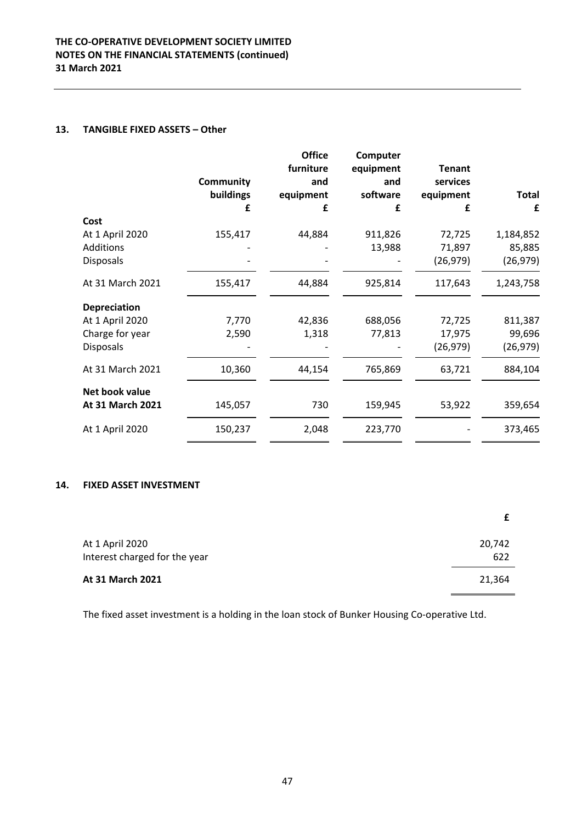### **13. TANGIBLE FIXED ASSETS – Other**

|                     |                  | <b>Office</b><br>furniture | Computer<br>equipment | <b>Tenant</b> |              |
|---------------------|------------------|----------------------------|-----------------------|---------------|--------------|
|                     | <b>Community</b> | and                        | and                   | services      |              |
|                     | buildings        | equipment                  | software              | equipment     | <b>Total</b> |
|                     | £                | £                          | £                     | £             | £            |
| Cost                |                  |                            |                       |               |              |
| At 1 April 2020     | 155,417          | 44,884                     | 911,826               | 72,725        | 1,184,852    |
| Additions           |                  |                            | 13,988                | 71,897        | 85,885       |
| <b>Disposals</b>    |                  |                            |                       | (26, 979)     | (26, 979)    |
| At 31 March 2021    | 155,417          | 44,884                     | 925,814               | 117,643       | 1,243,758    |
| <b>Depreciation</b> |                  |                            |                       |               |              |
| At 1 April 2020     | 7,770            | 42,836                     | 688,056               | 72,725        | 811,387      |
| Charge for year     | 2,590            | 1,318                      | 77,813                | 17,975        | 99,696       |
| <b>Disposals</b>    |                  |                            |                       | (26, 979)     | (26, 979)    |
| At 31 March 2021    | 10,360           | 44,154                     | 765,869               | 63,721        | 884,104      |
| Net book value      |                  |                            |                       |               |              |
| At 31 March 2021    | 145,057          | 730                        | 159,945               | 53,922        | 359,654      |
| At 1 April 2020     | 150,237          | 2,048                      | 223,770               |               | 373,465      |
|                     |                  |                            |                       |               |              |

# **14. FIXED ASSET INVESTMENT**

| At 1 April 2020<br>Interest charged for the year | 20,742<br>622 |
|--------------------------------------------------|---------------|
| At 31 March 2021                                 | 21,364        |

The fixed asset investment is a holding in the loan stock of Bunker Housing Co‐operative Ltd.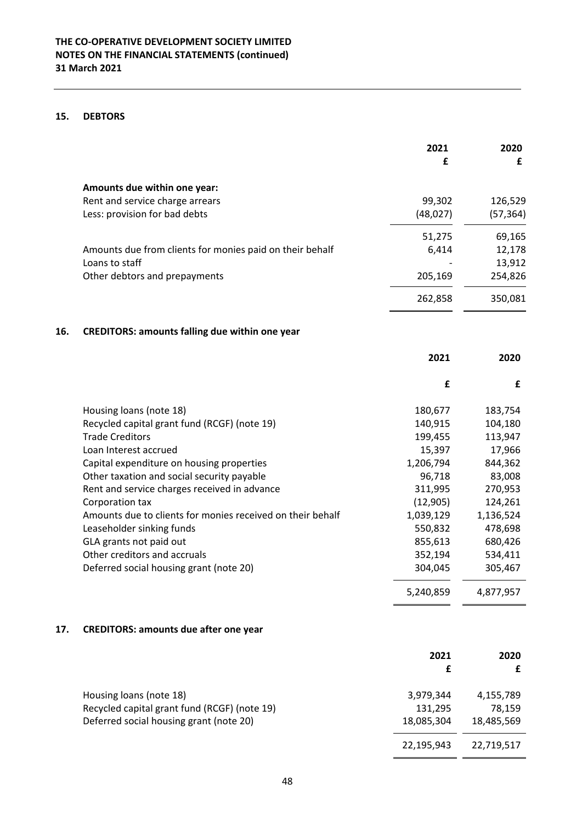# **15. DEBTORS**

|     |                                                            | 2021<br>£  | 2020<br>£  |
|-----|------------------------------------------------------------|------------|------------|
|     | Amounts due within one year:                               |            |            |
|     | Rent and service charge arrears                            | 99,302     | 126,529    |
|     | Less: provision for bad debts                              | (48, 027)  | (57, 364)  |
|     |                                                            | 51,275     | 69,165     |
|     | Amounts due from clients for monies paid on their behalf   | 6,414      | 12,178     |
|     | Loans to staff                                             |            | 13,912     |
|     | Other debtors and prepayments                              | 205,169    | 254,826    |
|     |                                                            | 262,858    | 350,081    |
| 16. | <b>CREDITORS: amounts falling due within one year</b>      |            |            |
|     |                                                            | 2021       | 2020       |
|     |                                                            | £          | £          |
|     | Housing loans (note 18)                                    | 180,677    | 183,754    |
|     | Recycled capital grant fund (RCGF) (note 19)               | 140,915    | 104,180    |
|     | <b>Trade Creditors</b>                                     | 199,455    | 113,947    |
|     | Loan Interest accrued                                      | 15,397     | 17,966     |
|     | Capital expenditure on housing properties                  | 1,206,794  | 844,362    |
|     | Other taxation and social security payable                 | 96,718     | 83,008     |
|     | Rent and service charges received in advance               | 311,995    | 270,953    |
|     | Corporation tax                                            | (12,905)   | 124,261    |
|     | Amounts due to clients for monies received on their behalf | 1,039,129  | 1,136,524  |
|     | Leaseholder sinking funds                                  | 550,832    | 478,698    |
|     | GLA grants not paid out                                    | 855,613    | 680,426    |
|     | Other creditors and accruals                               | 352,194    | 534,411    |
|     | Deferred social housing grant (note 20)                    | 304,045    | 305,467    |
|     |                                                            | 5,240,859  | 4,877,957  |
| 17. | <b>CREDITORS: amounts due after one year</b>               |            |            |
|     |                                                            | 2021       | 2020       |
|     |                                                            | £          | £          |
|     | Housing loans (note 18)                                    | 3,979,344  | 4,155,789  |
|     | Recycled capital grant fund (RCGF) (note 19)               | 131,295    | 78,159     |
|     | Deferred social housing grant (note 20)                    | 18,085,304 | 18,485,569 |
|     |                                                            | 22,195,943 | 22,719,517 |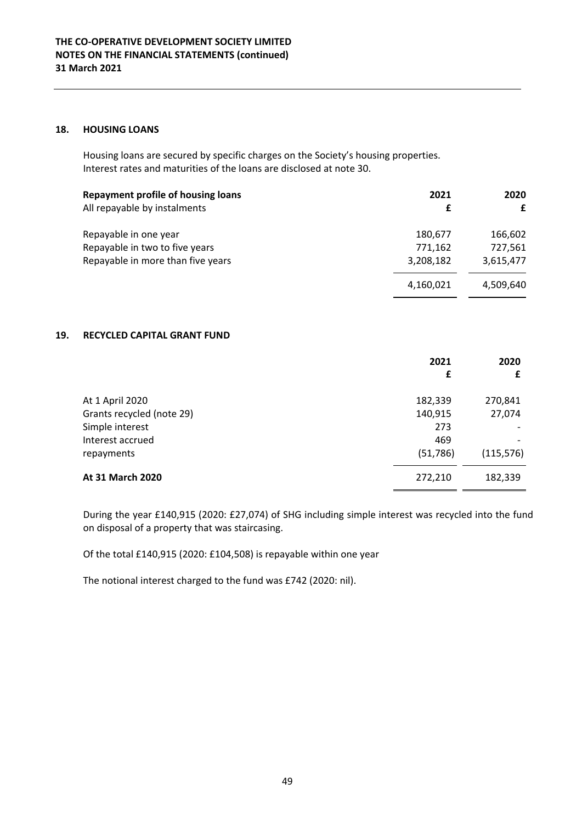### **18. HOUSING LOANS**

Housing loans are secured by specific charges on the Society's housing properties. Interest rates and maturities of the loans are disclosed at note 30.

| Repayment profile of housing loans<br>All repayable by instalments | 2021<br>£ | 2020<br>£ |
|--------------------------------------------------------------------|-----------|-----------|
| Repayable in one year                                              | 180,677   | 166,602   |
| Repayable in two to five years                                     | 771,162   | 727,561   |
| Repayable in more than five years                                  | 3,208,182 | 3,615,477 |
|                                                                    | 4,160,021 | 4,509,640 |

# **19. RECYCLED CAPITAL GRANT FUND**

|                           | 2021      | 2020       |
|---------------------------|-----------|------------|
|                           | £         | £          |
| At 1 April 2020           | 182,339   | 270,841    |
| Grants recycled (note 29) | 140,915   | 27,074     |
| Simple interest           | 273       |            |
| Interest accrued          | 469       |            |
| repayments                | (51, 786) | (115, 576) |
| At 31 March 2020          | 272,210   | 182,339    |

During the year £140,915 (2020: £27,074) of SHG including simple interest was recycled into the fund on disposal of a property that was staircasing.

Of the total £140,915 (2020: £104,508) is repayable within one year

The notional interest charged to the fund was £742 (2020: nil).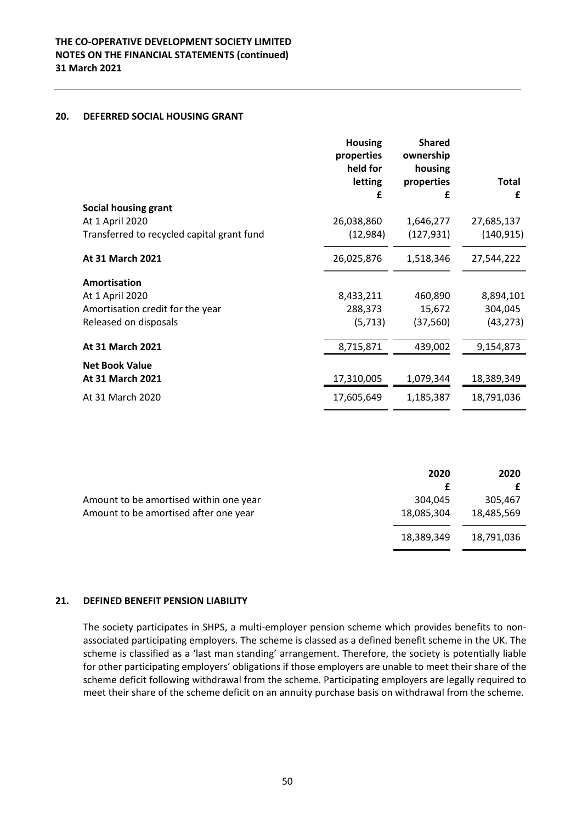### **20. DEFERRED SOCIAL HOUSING GRANT**

|                                            | <b>Housing</b><br>properties<br>held for<br>letting<br>£ | <b>Shared</b><br>ownership<br>housing<br>properties<br>£ | Total<br>£ |
|--------------------------------------------|----------------------------------------------------------|----------------------------------------------------------|------------|
| <b>Social housing grant</b>                |                                                          |                                                          |            |
| At 1 April 2020                            | 26,038,860                                               | 1,646,277                                                | 27,685,137 |
| Transferred to recycled capital grant fund | (12, 984)                                                | (127, 931)                                               | (140, 915) |
| At 31 March 2021                           | 26,025,876                                               | 1,518,346                                                | 27,544,222 |
| Amortisation                               |                                                          |                                                          |            |
| At 1 April 2020                            | 8,433,211                                                | 460,890                                                  | 8,894,101  |
| Amortisation credit for the year           | 288,373                                                  | 15,672                                                   | 304,045    |
| Released on disposals                      | (5, 713)                                                 | (37, 560)                                                | (43, 273)  |
| At 31 March 2021                           | 8,715,871                                                | 439,002                                                  | 9,154,873  |
| <b>Net Book Value</b>                      |                                                          |                                                          |            |
| <b>At 31 March 2021</b>                    | 17,310,005                                               | 1,079,344                                                | 18,389,349 |
| At 31 March 2020                           | 17,605,649                                               | 1,185,387                                                | 18,791,036 |

|                                                                                 | 2020                  | 2020                  |
|---------------------------------------------------------------------------------|-----------------------|-----------------------|
| Amount to be amortised within one year<br>Amount to be amortised after one year | 304.045<br>18,085,304 | 305,467<br>18,485,569 |
|                                                                                 | 18,389,349            | 18,791,036            |

# **21. DEFINED BENEFIT PENSION LIABILITY**

The society participates in SHPS, a multi-employer pension scheme which provides benefits to nonassociated participating employers. The scheme is classed as a defined benefit scheme in the UK. The scheme is classified as a 'last man standing' arrangement. Therefore, the society is potentially liable for other participating employers' obligations if those employers are unable to meet their share of the scheme deficit following withdrawal from the scheme. Participating employers are legally required to meet their share of the scheme deficit on an annuity purchase basis on withdrawal from the scheme.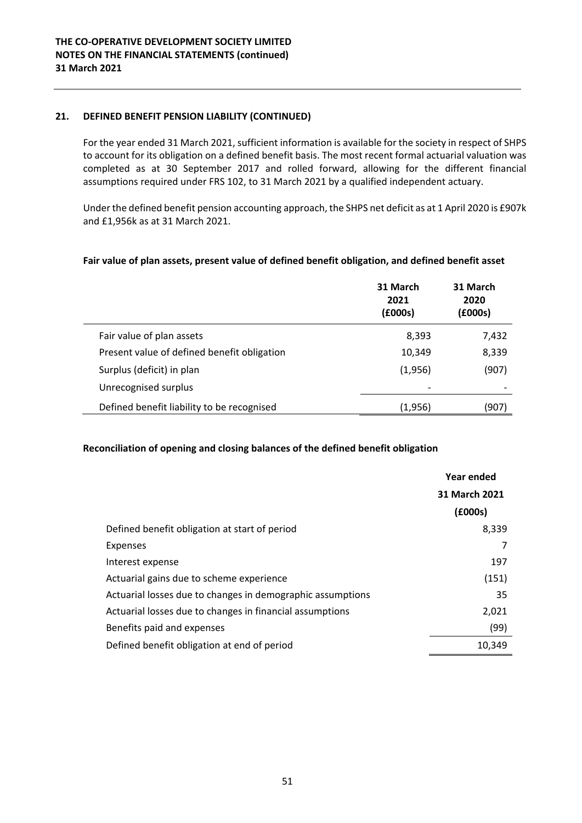For the year ended 31 March 2021, sufficient information is available for the society in respect of SHPS to account for its obligation on a defined benefit basis. The most recent formal actuarial valuation was completed as at 30 September 2017 and rolled forward, allowing for the different financial assumptions required under FRS 102, to 31 March 2021 by a qualified independent actuary.

Under the defined benefit pension accounting approach, the SHPS net deficit as at 1 April 2020 is £907k and £1,956k as at 31 March 2021.

# **Fair value of plan assets, present value of defined benefit obligation, and defined benefit asset**

|                                             | 31 March<br>2021<br>(£000s) | 31 March<br>2020<br>(£000s) |
|---------------------------------------------|-----------------------------|-----------------------------|
| Fair value of plan assets                   | 8,393                       | 7,432                       |
| Present value of defined benefit obligation | 10,349                      | 8,339                       |
| Surplus (deficit) in plan                   | (1,956)                     | (907)                       |
| Unrecognised surplus                        |                             |                             |
| Defined benefit liability to be recognised  | (1,956)                     | (907)                       |

# **Reconciliation of opening and closing balances of the defined benefit obligation**

|                                                            | <b>Year ended</b> |
|------------------------------------------------------------|-------------------|
|                                                            | 31 March 2021     |
|                                                            | (£000s)           |
| Defined benefit obligation at start of period              | 8,339             |
| <b>Expenses</b>                                            |                   |
| Interest expense                                           | 197               |
| Actuarial gains due to scheme experience                   | (151)             |
| Actuarial losses due to changes in demographic assumptions | 35                |
| Actuarial losses due to changes in financial assumptions   | 2,021             |
| Benefits paid and expenses                                 | (99)              |
| Defined benefit obligation at end of period                | 10.349            |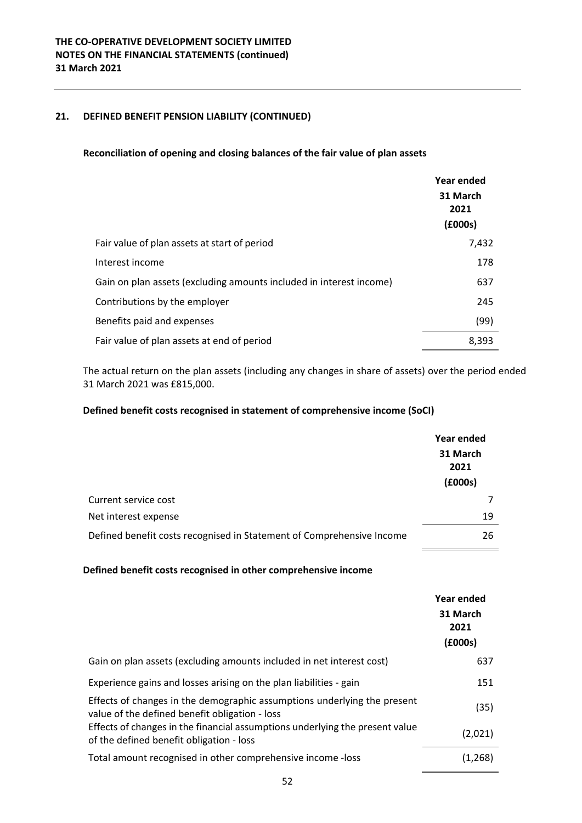# **Reconciliation of opening and closing balances of the fair value of plan assets**

|                                                                     | Year ended<br>31 March<br>2021<br>(£000s) |
|---------------------------------------------------------------------|-------------------------------------------|
| Fair value of plan assets at start of period                        | 7,432                                     |
| Interest income                                                     | 178                                       |
| Gain on plan assets (excluding amounts included in interest income) | 637                                       |
| Contributions by the employer                                       | 245                                       |
| Benefits paid and expenses                                          | (99)                                      |
| Fair value of plan assets at end of period                          | 8,393                                     |

The actual return on the plan assets (including any changes in share of assets) over the period ended 31 March 2021 was £815,000.

### **Defined benefit costs recognised in statement of comprehensive income (SoCI)**

|                                                                       | Year ended<br>31 March<br>2021<br>(£000s) |
|-----------------------------------------------------------------------|-------------------------------------------|
| Current service cost                                                  |                                           |
| Net interest expense                                                  | 19                                        |
| Defined benefit costs recognised in Statement of Comprehensive Income | 26                                        |

### **Defined benefit costs recognised in other comprehensive income**

|                                                                                                                            | Year ended<br>31 March<br>2021<br>(£000s) |
|----------------------------------------------------------------------------------------------------------------------------|-------------------------------------------|
| Gain on plan assets (excluding amounts included in net interest cost)                                                      | 637                                       |
| Experience gains and losses arising on the plan liabilities - gain                                                         | 151                                       |
| Effects of changes in the demographic assumptions underlying the present<br>value of the defined benefit obligation - loss | (35)                                      |
| Effects of changes in the financial assumptions underlying the present value<br>of the defined benefit obligation - loss   | (2,021)                                   |
| Total amount recognised in other comprehensive income -loss                                                                | (1,268)                                   |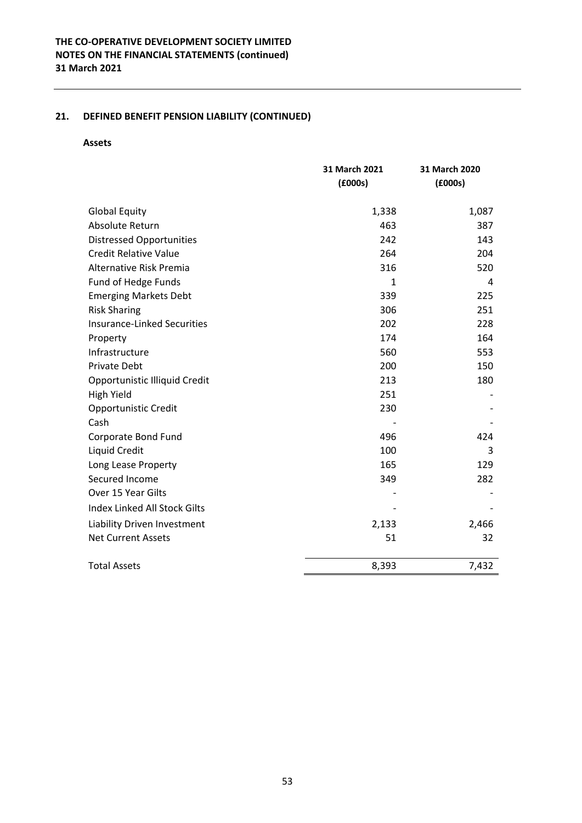#### **Assets**

|                                 | 31 March 2021 | 31 March 2020 |
|---------------------------------|---------------|---------------|
|                                 | (£000s)       | (£000s)       |
|                                 |               |               |
| <b>Global Equity</b>            | 1,338         | 1,087         |
| Absolute Return                 | 463           | 387           |
| <b>Distressed Opportunities</b> | 242           | 143           |
| <b>Credit Relative Value</b>    | 264           | 204           |
| Alternative Risk Premia         | 316           | 520           |
| Fund of Hedge Funds             | 1             | 4             |
| <b>Emerging Markets Debt</b>    | 339           | 225           |
| <b>Risk Sharing</b>             | 306           | 251           |
| Insurance-Linked Securities     | 202           | 228           |
| Property                        | 174           | 164           |
| Infrastructure                  | 560           | 553           |
| <b>Private Debt</b>             | 200           | 150           |
| Opportunistic Illiquid Credit   | 213           | 180           |
| <b>High Yield</b>               | 251           |               |
| Opportunistic Credit            | 230           |               |
| Cash                            |               |               |
| Corporate Bond Fund             | 496           | 424           |
| Liquid Credit                   | 100           | 3             |
| Long Lease Property             | 165           | 129           |
| Secured Income                  | 349           | 282           |
| Over 15 Year Gilts              |               |               |
| Index Linked All Stock Gilts    |               |               |
| Liability Driven Investment     | 2,133         | 2,466         |
| <b>Net Current Assets</b>       | 51            | 32            |
| <b>Total Assets</b>             | 8,393         | 7,432         |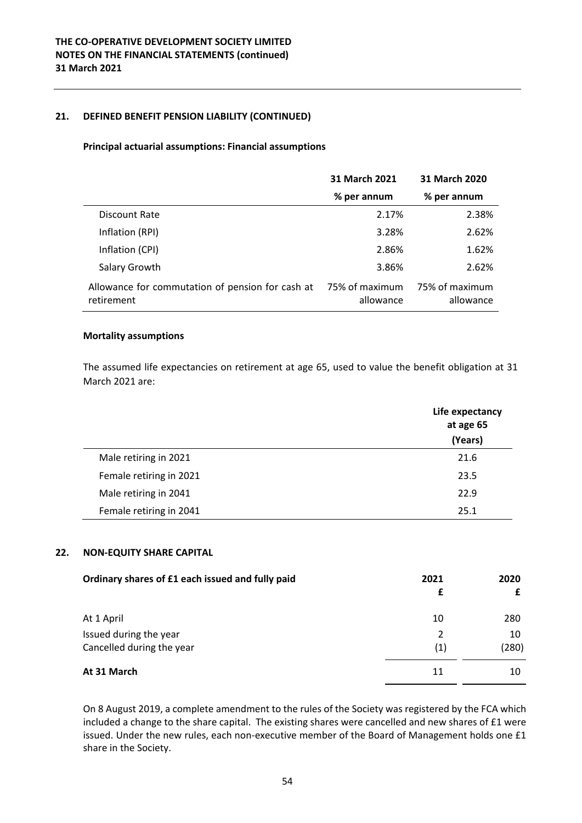### **Principal actuarial assumptions: Financial assumptions**

|                                                                | 31 March 2021               | 31 March 2020               |
|----------------------------------------------------------------|-----------------------------|-----------------------------|
|                                                                | % per annum                 | % per annum                 |
| Discount Rate                                                  | 2.17%                       | 2.38%                       |
| Inflation (RPI)                                                | 3.28%                       | 2.62%                       |
| Inflation (CPI)                                                | 2.86%                       | 1.62%                       |
| Salary Growth                                                  | 3.86%                       | 2.62%                       |
| Allowance for commutation of pension for cash at<br>retirement | 75% of maximum<br>allowance | 75% of maximum<br>allowance |

### **Mortality assumptions**

The assumed life expectancies on retirement at age 65, used to value the benefit obligation at 31 March 2021 are:

|                         | Life expectancy<br>at age 65<br>(Years) |
|-------------------------|-----------------------------------------|
| Male retiring in 2021   | 21.6                                    |
| Female retiring in 2021 | 23.5                                    |
| Male retiring in 2041   | 22.9                                    |
| Female retiring in 2041 | 25.1                                    |

# **22. NON‐EQUITY SHARE CAPITAL**

| Ordinary shares of £1 each issued and fully paid | 2021<br>£ | 2020  |
|--------------------------------------------------|-----------|-------|
| At 1 April                                       | 10        | 280   |
| Issued during the year                           | 2         | 10    |
| Cancelled during the year                        | (1)       | (280) |
| At 31 March                                      | 11        | 10    |

On 8 August 2019, a complete amendment to the rules of the Society was registered by the FCA which included a change to the share capital. The existing shares were cancelled and new shares of £1 were issued. Under the new rules, each non-executive member of the Board of Management holds one £1 share in the Society.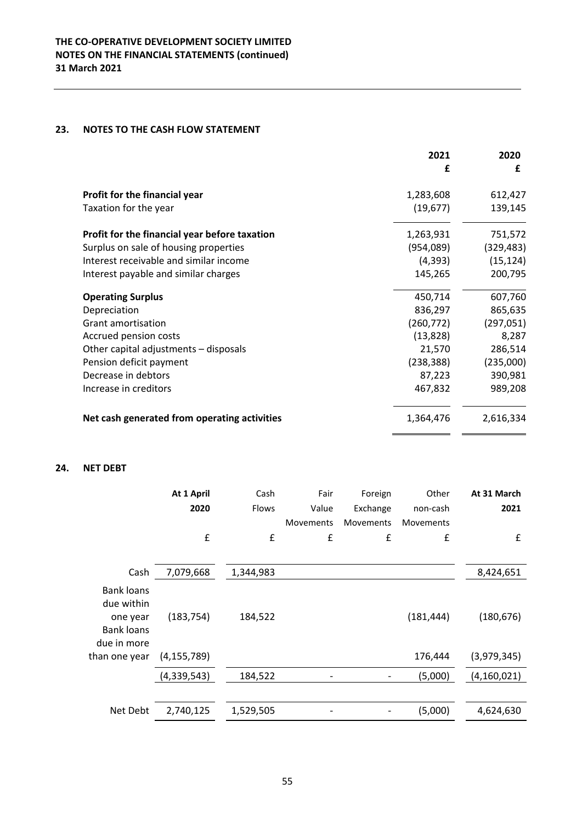# **23. NOTES TO THE CASH FLOW STATEMENT**

|                                               | 2021<br>£  | 2020<br>£  |
|-----------------------------------------------|------------|------------|
|                                               |            |            |
| Profit for the financial year                 | 1,283,608  | 612,427    |
| Taxation for the year                         | (19, 677)  | 139,145    |
| Profit for the financial year before taxation | 1,263,931  | 751,572    |
| Surplus on sale of housing properties         | (954,089)  | (329, 483) |
| Interest receivable and similar income        | (4,393)    | (15, 124)  |
| Interest payable and similar charges          | 145,265    | 200,795    |
| <b>Operating Surplus</b>                      | 450,714    | 607,760    |
| Depreciation                                  | 836,297    | 865,635    |
| Grant amortisation                            | (260, 772) | (297, 051) |
| Accrued pension costs                         | (13, 828)  | 8,287      |
| Other capital adjustments - disposals         | 21,570     | 286,514    |
| Pension deficit payment                       | (238, 388) | (235,000)  |
| Decrease in debtors                           | 87,223     | 390,981    |
| Increase in creditors                         | 467,832    | 989,208    |
| Net cash generated from operating activities  | 1,364,476  | 2,616,334  |

# **24. NET DEBT**

|                                                                          | At 1 April    | Cash               | Fair      | Foreign   | Other            | At 31 March   |
|--------------------------------------------------------------------------|---------------|--------------------|-----------|-----------|------------------|---------------|
|                                                                          | 2020          | Flows              | Value     | Exchange  | non-cash         | 2021          |
|                                                                          |               |                    | Movements | Movements | <b>Movements</b> |               |
|                                                                          | £             | $\pmb{\mathsf{f}}$ | £         | £         | £                | £             |
|                                                                          |               |                    |           |           |                  |               |
| Cash                                                                     | 7,079,668     | 1,344,983          |           |           |                  | 8,424,651     |
| <b>Bank loans</b><br>due within<br>one year<br>Bank loans<br>due in more | (183, 754)    | 184,522            |           |           | (181, 444)       | (180, 676)    |
| than one year                                                            | (4, 155, 789) |                    |           |           | 176,444          | (3,979,345)   |
|                                                                          | (4,339,543)   | 184,522            | -         |           | (5,000)          | (4, 160, 021) |
|                                                                          |               |                    |           |           |                  |               |
| Net Debt                                                                 | 2,740,125     | 1,529,505          |           |           | (5,000)          | 4,624,630     |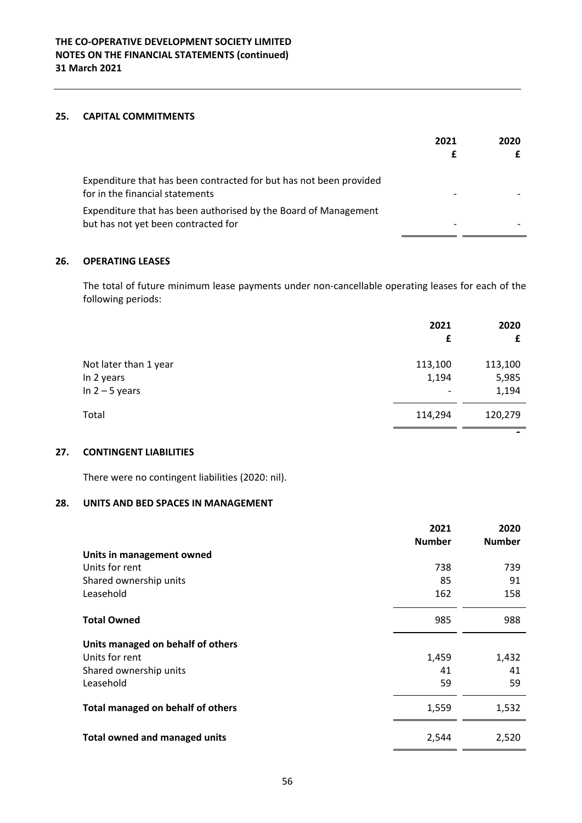### **25. CAPITAL COMMITMENTS**

|                                                                                                        | 2021 | 2020 |
|--------------------------------------------------------------------------------------------------------|------|------|
| Expenditure that has been contracted for but has not been provided<br>for in the financial statements  |      |      |
| Expenditure that has been authorised by the Board of Management<br>but has not yet been contracted for |      |      |

# **26. OPERATING LEASES**

The total of future minimum lease payments under non‐cancellable operating leases for each of the following periods:

|                       | 2021<br>£                | 2020                     |
|-----------------------|--------------------------|--------------------------|
| Not later than 1 year | 113,100                  | 113,100                  |
| In 2 years            | 1,194                    | 5,985                    |
| In $2 - 5$ years      | $\overline{\phantom{a}}$ | 1,194                    |
| Total                 | 114,294                  | 120,279                  |
|                       |                          | $\overline{\phantom{0}}$ |

# **27. CONTINGENT LIABILITIES**

There were no contingent liabilities (2020: nil).

# **28. UNITS AND BED SPACES IN MANAGEMENT**

|                                      | 2021          | 2020          |
|--------------------------------------|---------------|---------------|
|                                      | <b>Number</b> | <b>Number</b> |
| Units in management owned            |               |               |
| Units for rent                       | 738           | 739           |
| Shared ownership units               | 85            | 91            |
| Leasehold                            | 162           | 158           |
| <b>Total Owned</b>                   | 985           | 988           |
| Units managed on behalf of others    |               |               |
| Units for rent                       | 1,459         | 1,432         |
| Shared ownership units               | 41            | 41            |
| Leasehold                            | 59            | 59            |
| Total managed on behalf of others    | 1,559         | 1,532         |
| <b>Total owned and managed units</b> | 2,544         | 2,520         |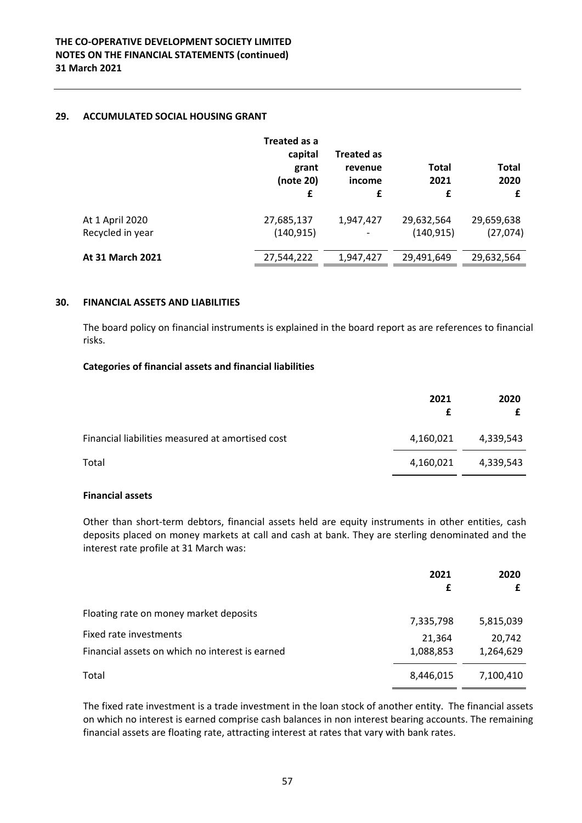# **29. ACCUMULATED SOCIAL HOUSING GRANT**

|                                     | Treated as a<br>capital<br>grant<br>(note 20)<br>£ | <b>Treated as</b><br>revenue<br>income<br>£ | <b>Total</b><br>2021<br>£ | <b>Total</b><br>2020<br>£ |
|-------------------------------------|----------------------------------------------------|---------------------------------------------|---------------------------|---------------------------|
| At 1 April 2020<br>Recycled in year | 27,685,137<br>(140, 915)                           | 1,947,427                                   | 29,632,564<br>(140, 915)  | 29,659,638<br>(27,074)    |
| <b>At 31 March 2021</b>             | 27,544,222                                         | 1,947,427                                   | 29,491,649                | 29,632,564                |

### **30. FINANCIAL ASSETS AND LIABILITIES**

The board policy on financial instruments is explained in the board report as are references to financial risks.

# **Categories of financial assets and financial liabilities**

|                                                  | 2021      | 2020      |
|--------------------------------------------------|-----------|-----------|
| Financial liabilities measured at amortised cost | 4,160,021 | 4,339,543 |
| Total                                            | 4,160,021 | 4,339,543 |

# **Financial assets**

Other than short‐term debtors, financial assets held are equity instruments in other entities, cash deposits placed on money markets at call and cash at bank. They are sterling denominated and the interest rate profile at 31 March was:

|                                                 | 2021<br>£ | 2020      |
|-------------------------------------------------|-----------|-----------|
| Floating rate on money market deposits          | 7,335,798 | 5,815,039 |
| Fixed rate investments                          | 21,364    | 20,742    |
| Financial assets on which no interest is earned | 1,088,853 | 1,264,629 |
| Total                                           | 8,446,015 | 7,100,410 |

The fixed rate investment is a trade investment in the loan stock of another entity. The financial assets on which no interest is earned comprise cash balances in non interest bearing accounts. The remaining financial assets are floating rate, attracting interest at rates that vary with bank rates.